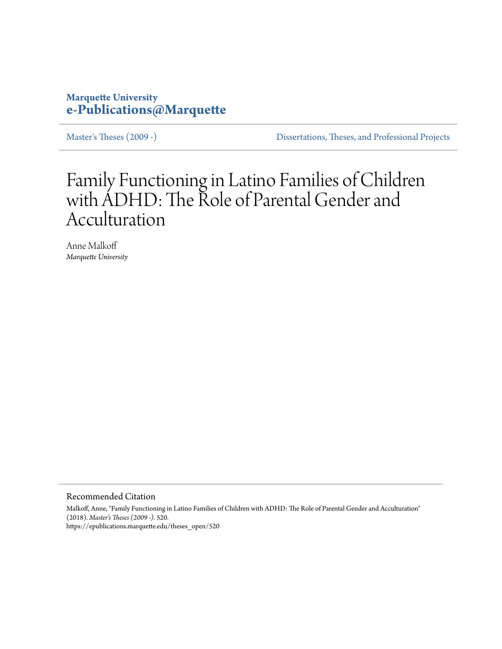# **Marquette University [e-Publications@Marquette](https://epublications.marquette.edu)**

[Master's Theses \(2009 -\)](https://epublications.marquette.edu/theses_open) [Dissertations, Theses, and Professional Projects](https://epublications.marquette.edu/diss_theses)

# Family Functioning in Latino Families of Children with ADHD: The Role of Parental Gender and Acculturation

Anne Malkoff *Marquette University*

Recommended Citation

Malkoff, Anne, "Family Functioning in Latino Families of Children with ADHD: The Role of Parental Gender and Acculturation" (2018). *Master's Theses (2009 -)*. 520. https://epublications.marquette.edu/theses\_open/520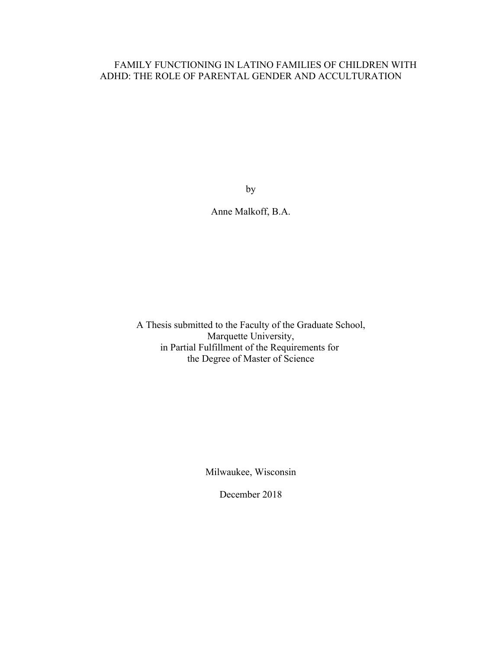# FAMILY FUNCTIONING IN LATINO FAMILIES OF CHILDREN WITH ADHD: THE ROLE OF PARENTAL GENDER AND ACCULTURATION

by

Anne Malkoff, B.A.

A Thesis submitted to the Faculty of the Graduate School, Marquette University, in Partial Fulfillment of the Requirements for the Degree of Master of Science

Milwaukee, Wisconsin

December 2018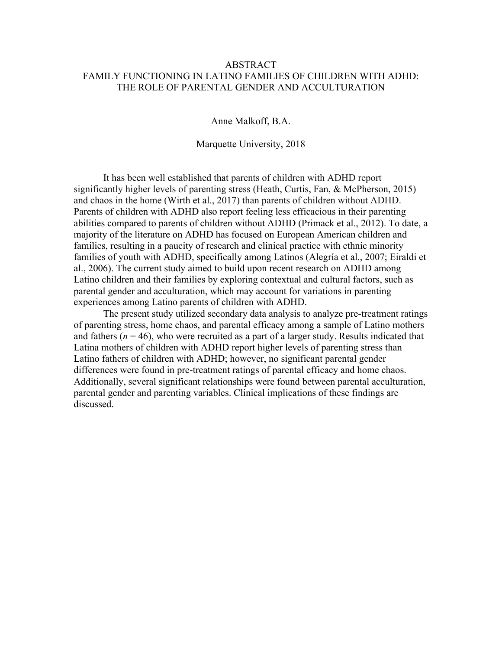# ABSTRACT FAMILY FUNCTIONING IN LATINO FAMILIES OF CHILDREN WITH ADHD: THE ROLE OF PARENTAL GENDER AND ACCULTURATION

Anne Malkoff, B.A.

Marquette University, 2018

It has been well established that parents of children with ADHD report significantly higher levels of parenting stress (Heath, Curtis, Fan, & McPherson, 2015) and chaos in the home (Wirth et al., 2017) than parents of children without ADHD. Parents of children with ADHD also report feeling less efficacious in their parenting abilities compared to parents of children without ADHD (Primack et al., 2012). To date, a majority of the literature on ADHD has focused on European American children and families, resulting in a paucity of research and clinical practice with ethnic minority families of youth with ADHD, specifically among Latinos (Alegría et al., 2007; Eiraldi et al., 2006). The current study aimed to build upon recent research on ADHD among Latino children and their families by exploring contextual and cultural factors, such as parental gender and acculturation, which may account for variations in parenting experiences among Latino parents of children with ADHD.

The present study utilized secondary data analysis to analyze pre-treatment ratings of parenting stress, home chaos, and parental efficacy among a sample of Latino mothers and fathers ( $n = 46$ ), who were recruited as a part of a larger study. Results indicated that Latina mothers of children with ADHD report higher levels of parenting stress than Latino fathers of children with ADHD; however, no significant parental gender differences were found in pre-treatment ratings of parental efficacy and home chaos. Additionally, several significant relationships were found between parental acculturation, parental gender and parenting variables. Clinical implications of these findings are discussed.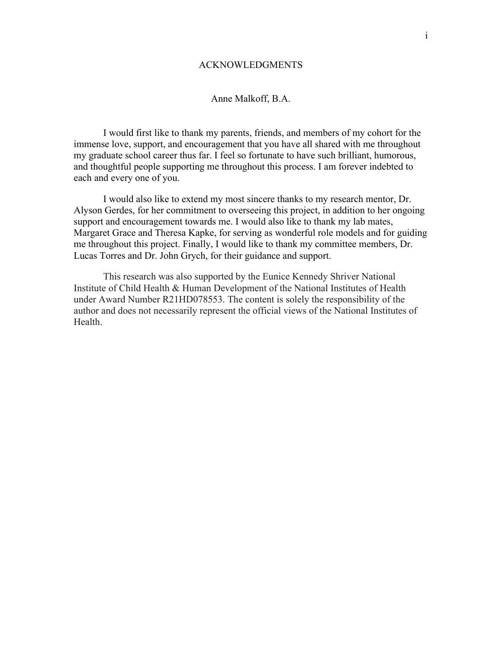# ACKNOWLEDGMENTS

# Anne Malkoff, B.A.

I would first like to thank my parents, friends, and members of my cohort for the immense love, support, and encouragement that you have all shared with me throughout my graduate school career thus far. I feel so fortunate to have such brilliant, humorous, and thoughtful people supporting me throughout this process. I am forever indebted to each and every one of you.

I would also like to extend my most sincere thanks to my research mentor, Dr. Alyson Gerdes, for her commitment to overseeing this project, in addition to her ongoing support and encouragement towards me. I would also like to thank my lab mates, Margaret Grace and Theresa Kapke, for serving as wonderful role models and for guiding me throughout this project. Finally, I would like to thank my committee members, Dr. Lucas Torres and Dr. John Grych, for their guidance and support.

This research was also supported by the Eunice Kennedy Shriver National Institute of Child Health & Human Development of the National Institutes of Health under Award Number R21HD078553. The content is solely the responsibility of the author and does not necessarily represent the official views of the National Institutes of **Health**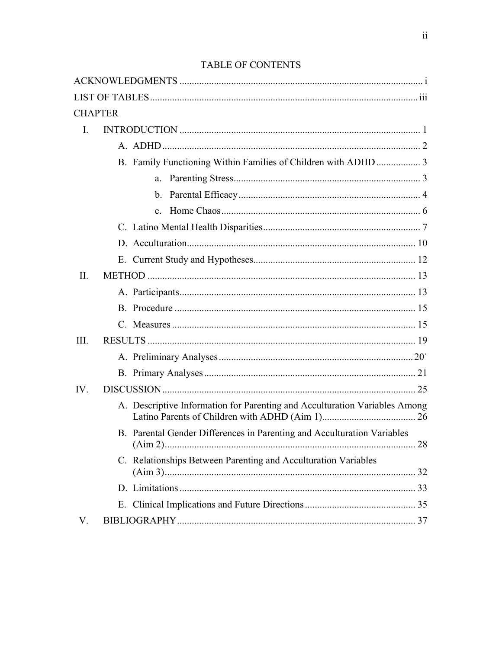# TABLE OF CONTENTS

|                | <b>CHAPTER</b> |                                                                            |  |
|----------------|----------------|----------------------------------------------------------------------------|--|
| $\mathbf{I}$ . |                |                                                                            |  |
|                |                |                                                                            |  |
|                |                | B. Family Functioning Within Families of Children with ADHD  3             |  |
|                |                |                                                                            |  |
|                |                |                                                                            |  |
|                |                |                                                                            |  |
|                |                |                                                                            |  |
|                |                |                                                                            |  |
|                |                |                                                                            |  |
| $\Pi$ .        |                |                                                                            |  |
|                |                |                                                                            |  |
|                |                |                                                                            |  |
|                |                |                                                                            |  |
| Ш.             |                |                                                                            |  |
|                |                |                                                                            |  |
|                |                |                                                                            |  |
| IV.            |                |                                                                            |  |
|                |                | A. Descriptive Information for Parenting and Acculturation Variables Among |  |
|                |                | B. Parental Gender Differences in Parenting and Acculturation Variables    |  |
|                |                | C. Relationships Between Parenting and Acculturation Variables             |  |
|                |                |                                                                            |  |
|                |                |                                                                            |  |
| V.             |                |                                                                            |  |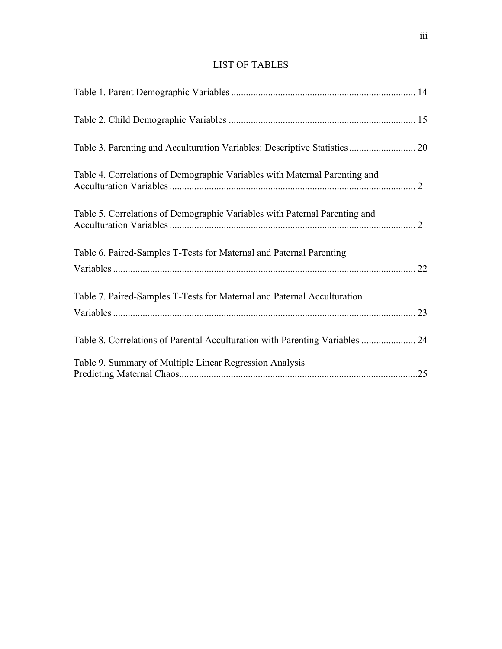# LIST OF TABLES

| Table 3. Parenting and Acculturation Variables: Descriptive Statistics  20   |     |
|------------------------------------------------------------------------------|-----|
| Table 4. Correlations of Demographic Variables with Maternal Parenting and   |     |
| Table 5. Correlations of Demographic Variables with Paternal Parenting and   |     |
| Table 6. Paired-Samples T-Tests for Maternal and Paternal Parenting          |     |
| Table 7. Paired-Samples T-Tests for Maternal and Paternal Acculturation      |     |
| Table 8. Correlations of Parental Acculturation with Parenting Variables  24 |     |
| Table 9. Summary of Multiple Linear Regression Analysis                      | .25 |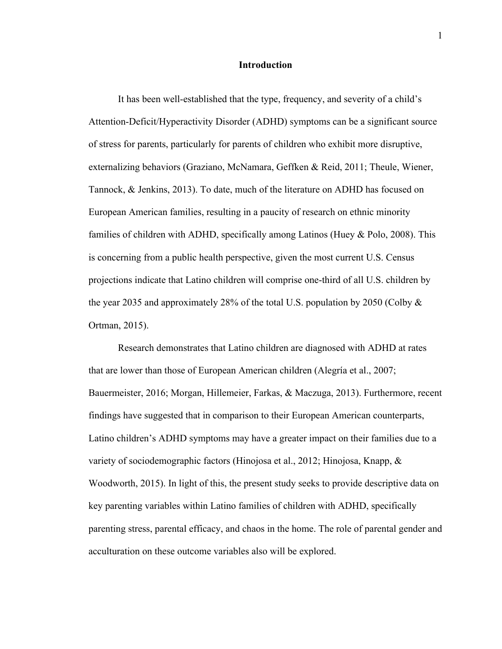# **Introduction**

It has been well-established that the type, frequency, and severity of a child's Attention-Deficit/Hyperactivity Disorder (ADHD) symptoms can be a significant source of stress for parents, particularly for parents of children who exhibit more disruptive, externalizing behaviors (Graziano, McNamara, Geffken & Reid, 2011; Theule, Wiener, Tannock, & Jenkins, 2013). To date, much of the literature on ADHD has focused on European American families, resulting in a paucity of research on ethnic minority families of children with ADHD, specifically among Latinos (Huey & Polo, 2008). This is concerning from a public health perspective, given the most current U.S. Census projections indicate that Latino children will comprise one-third of all U.S. children by the year 2035 and approximately 28% of the total U.S. population by 2050 (Colby  $\&$ Ortman, 2015).

Research demonstrates that Latino children are diagnosed with ADHD at rates that are lower than those of European American children (Alegría et al., 2007; Bauermeister, 2016; Morgan, Hillemeier, Farkas, & Maczuga, 2013). Furthermore, recent findings have suggested that in comparison to their European American counterparts, Latino children's ADHD symptoms may have a greater impact on their families due to a variety of sociodemographic factors (Hinojosa et al., 2012; Hinojosa, Knapp, & Woodworth, 2015). In light of this, the present study seeks to provide descriptive data on key parenting variables within Latino families of children with ADHD, specifically parenting stress, parental efficacy, and chaos in the home. The role of parental gender and acculturation on these outcome variables also will be explored.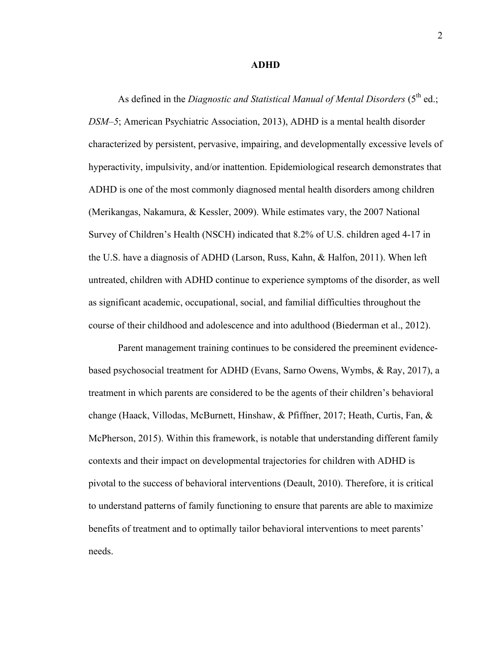#### **ADHD**

As defined in the *Diagnostic and Statistical Manual of Mental Disorders* (5<sup>th</sup> ed.; *DSM–5*; American Psychiatric Association, 2013), ADHD is a mental health disorder characterized by persistent, pervasive, impairing, and developmentally excessive levels of hyperactivity, impulsivity, and/or inattention. Epidemiological research demonstrates that ADHD is one of the most commonly diagnosed mental health disorders among children (Merikangas, Nakamura, & Kessler, 2009). While estimates vary, the 2007 National Survey of Children's Health (NSCH) indicated that 8.2% of U.S. children aged 4-17 in the U.S. have a diagnosis of ADHD (Larson, Russ, Kahn, & Halfon, 2011). When left untreated, children with ADHD continue to experience symptoms of the disorder, as well as significant academic, occupational, social, and familial difficulties throughout the course of their childhood and adolescence and into adulthood (Biederman et al., 2012).

Parent management training continues to be considered the preeminent evidencebased psychosocial treatment for ADHD (Evans, Sarno Owens, Wymbs, & Ray, 2017), a treatment in which parents are considered to be the agents of their children's behavioral change (Haack, Villodas, McBurnett, Hinshaw, & Pfiffner, 2017; Heath, Curtis, Fan, & McPherson, 2015). Within this framework, is notable that understanding different family contexts and their impact on developmental trajectories for children with ADHD is pivotal to the success of behavioral interventions (Deault, 2010). Therefore, it is critical to understand patterns of family functioning to ensure that parents are able to maximize benefits of treatment and to optimally tailor behavioral interventions to meet parents' needs.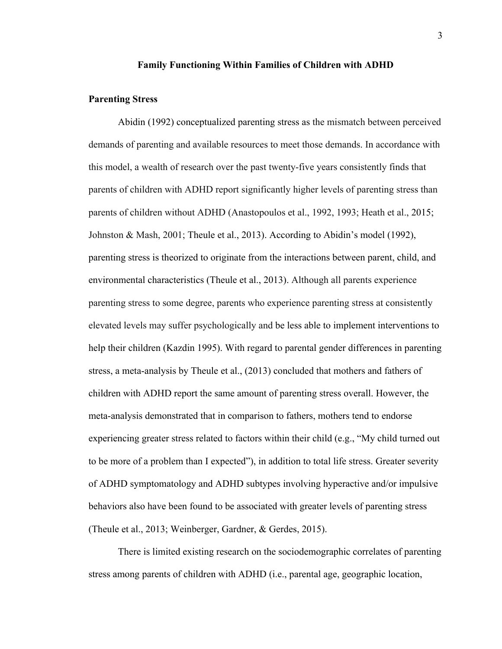### **Family Functioning Within Families of Children with ADHD**

# **Parenting Stress**

Abidin (1992) conceptualized parenting stress as the mismatch between perceived demands of parenting and available resources to meet those demands. In accordance with this model, a wealth of research over the past twenty-five years consistently finds that parents of children with ADHD report significantly higher levels of parenting stress than parents of children without ADHD (Anastopoulos et al., 1992, 1993; Heath et al., 2015; Johnston & Mash, 2001; Theule et al., 2013). According to Abidin's model (1992), parenting stress is theorized to originate from the interactions between parent, child, and environmental characteristics (Theule et al., 2013). Although all parents experience parenting stress to some degree, parents who experience parenting stress at consistently elevated levels may suffer psychologically and be less able to implement interventions to help their children (Kazdin 1995). With regard to parental gender differences in parenting stress, a meta-analysis by Theule et al., (2013) concluded that mothers and fathers of children with ADHD report the same amount of parenting stress overall. However, the meta-analysis demonstrated that in comparison to fathers, mothers tend to endorse experiencing greater stress related to factors within their child (e.g., "My child turned out to be more of a problem than I expected"), in addition to total life stress. Greater severity of ADHD symptomatology and ADHD subtypes involving hyperactive and/or impulsive behaviors also have been found to be associated with greater levels of parenting stress (Theule et al., 2013; Weinberger, Gardner, & Gerdes, 2015).

There is limited existing research on the sociodemographic correlates of parenting stress among parents of children with ADHD (i.e., parental age, geographic location,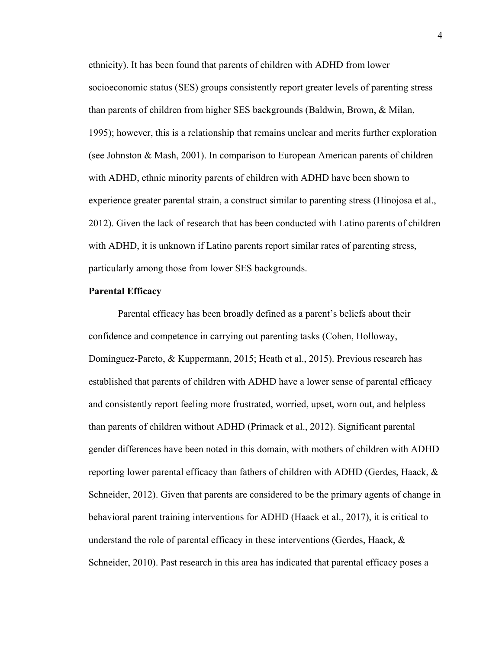ethnicity). It has been found that parents of children with ADHD from lower socioeconomic status (SES) groups consistently report greater levels of parenting stress than parents of children from higher SES backgrounds (Baldwin, Brown, & Milan, 1995); however, this is a relationship that remains unclear and merits further exploration (see Johnston & Mash, 2001). In comparison to European American parents of children with ADHD, ethnic minority parents of children with ADHD have been shown to experience greater parental strain, a construct similar to parenting stress (Hinojosa et al., 2012). Given the lack of research that has been conducted with Latino parents of children with ADHD, it is unknown if Latino parents report similar rates of parenting stress, particularly among those from lower SES backgrounds.

## **Parental Efficacy**

Parental efficacy has been broadly defined as a parent's beliefs about their confidence and competence in carrying out parenting tasks (Cohen, Holloway, Domínguez-Pareto, & Kuppermann, 2015; Heath et al., 2015). Previous research has established that parents of children with ADHD have a lower sense of parental efficacy and consistently report feeling more frustrated, worried, upset, worn out, and helpless than parents of children without ADHD (Primack et al., 2012). Significant parental gender differences have been noted in this domain, with mothers of children with ADHD reporting lower parental efficacy than fathers of children with ADHD (Gerdes, Haack,  $\&$ Schneider, 2012). Given that parents are considered to be the primary agents of change in behavioral parent training interventions for ADHD (Haack et al., 2017), it is critical to understand the role of parental efficacy in these interventions (Gerdes, Haack,  $\&$ Schneider, 2010). Past research in this area has indicated that parental efficacy poses a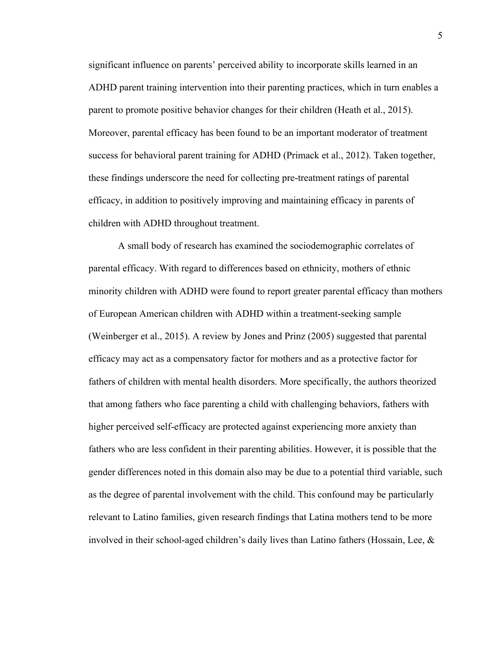significant influence on parents' perceived ability to incorporate skills learned in an ADHD parent training intervention into their parenting practices, which in turn enables a parent to promote positive behavior changes for their children (Heath et al., 2015). Moreover, parental efficacy has been found to be an important moderator of treatment success for behavioral parent training for ADHD (Primack et al., 2012). Taken together, these findings underscore the need for collecting pre-treatment ratings of parental efficacy, in addition to positively improving and maintaining efficacy in parents of children with ADHD throughout treatment.

A small body of research has examined the sociodemographic correlates of parental efficacy. With regard to differences based on ethnicity, mothers of ethnic minority children with ADHD were found to report greater parental efficacy than mothers of European American children with ADHD within a treatment-seeking sample (Weinberger et al., 2015). A review by Jones and Prinz (2005) suggested that parental efficacy may act as a compensatory factor for mothers and as a protective factor for fathers of children with mental health disorders. More specifically, the authors theorized that among fathers who face parenting a child with challenging behaviors, fathers with higher perceived self-efficacy are protected against experiencing more anxiety than fathers who are less confident in their parenting abilities. However, it is possible that the gender differences noted in this domain also may be due to a potential third variable, such as the degree of parental involvement with the child. This confound may be particularly relevant to Latino families, given research findings that Latina mothers tend to be more involved in their school-aged children's daily lives than Latino fathers (Hossain, Lee, &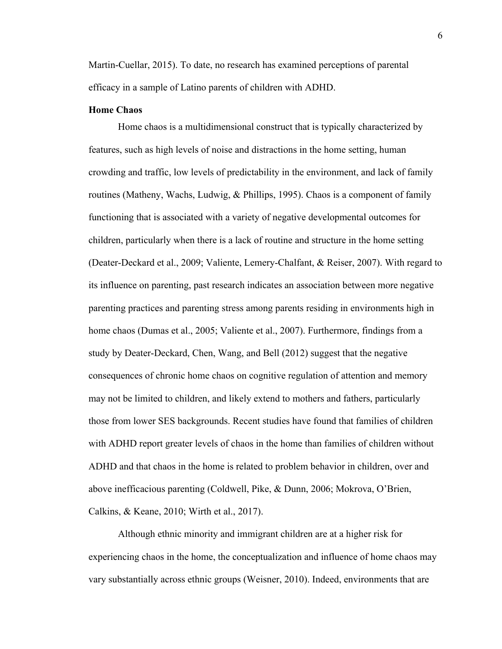Martin-Cuellar, 2015). To date, no research has examined perceptions of parental efficacy in a sample of Latino parents of children with ADHD.

# **Home Chaos**

Home chaos is a multidimensional construct that is typically characterized by features, such as high levels of noise and distractions in the home setting, human crowding and traffic, low levels of predictability in the environment, and lack of family routines (Matheny, Wachs, Ludwig, & Phillips, 1995). Chaos is a component of family functioning that is associated with a variety of negative developmental outcomes for children, particularly when there is a lack of routine and structure in the home setting (Deater-Deckard et al., 2009; Valiente, Lemery-Chalfant, & Reiser, 2007). With regard to its influence on parenting, past research indicates an association between more negative parenting practices and parenting stress among parents residing in environments high in home chaos (Dumas et al., 2005; Valiente et al., 2007). Furthermore, findings from a study by Deater-Deckard, Chen, Wang, and Bell (2012) suggest that the negative consequences of chronic home chaos on cognitive regulation of attention and memory may not be limited to children, and likely extend to mothers and fathers, particularly those from lower SES backgrounds. Recent studies have found that families of children with ADHD report greater levels of chaos in the home than families of children without ADHD and that chaos in the home is related to problem behavior in children, over and above inefficacious parenting (Coldwell, Pike, & Dunn, 2006; Mokrova, O'Brien, Calkins, & Keane, 2010; Wirth et al., 2017).

Although ethnic minority and immigrant children are at a higher risk for experiencing chaos in the home, the conceptualization and influence of home chaos may vary substantially across ethnic groups (Weisner, 2010). Indeed, environments that are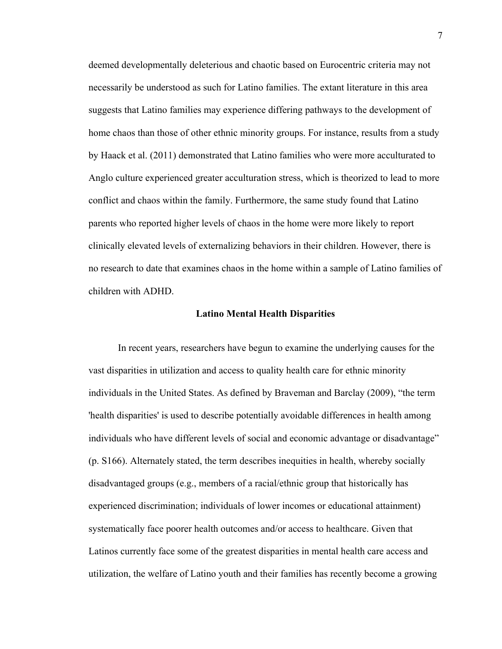deemed developmentally deleterious and chaotic based on Eurocentric criteria may not necessarily be understood as such for Latino families. The extant literature in this area suggests that Latino families may experience differing pathways to the development of home chaos than those of other ethnic minority groups. For instance, results from a study by Haack et al. (2011) demonstrated that Latino families who were more acculturated to Anglo culture experienced greater acculturation stress, which is theorized to lead to more conflict and chaos within the family. Furthermore, the same study found that Latino parents who reported higher levels of chaos in the home were more likely to report clinically elevated levels of externalizing behaviors in their children. However, there is no research to date that examines chaos in the home within a sample of Latino families of children with ADHD.

#### **Latino Mental Health Disparities**

In recent years, researchers have begun to examine the underlying causes for the vast disparities in utilization and access to quality health care for ethnic minority individuals in the United States. As defined by Braveman and Barclay (2009), "the term 'health disparities' is used to describe potentially avoidable differences in health among individuals who have different levels of social and economic advantage or disadvantage" (p. S166). Alternately stated, the term describes inequities in health, whereby socially disadvantaged groups (e.g., members of a racial/ethnic group that historically has experienced discrimination; individuals of lower incomes or educational attainment) systematically face poorer health outcomes and/or access to healthcare. Given that Latinos currently face some of the greatest disparities in mental health care access and utilization, the welfare of Latino youth and their families has recently become a growing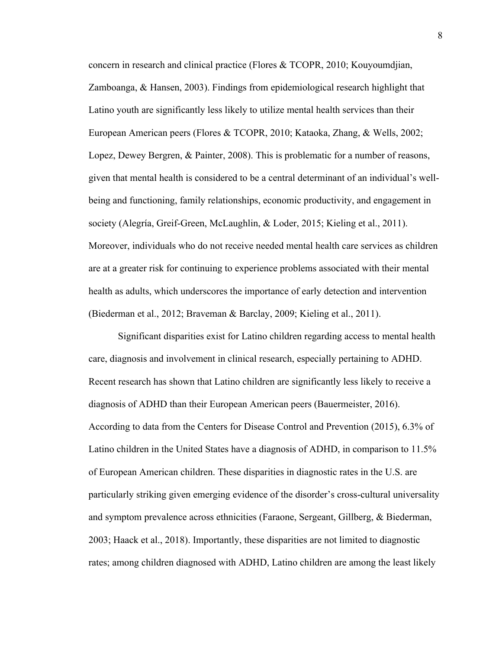concern in research and clinical practice (Flores & TCOPR, 2010; Kouyoumdjian, Zamboanga, & Hansen, 2003). Findings from epidemiological research highlight that Latino youth are significantly less likely to utilize mental health services than their European American peers (Flores & TCOPR, 2010; Kataoka, Zhang, & Wells, 2002; Lopez, Dewey Bergren, & Painter, 2008). This is problematic for a number of reasons, given that mental health is considered to be a central determinant of an individual's wellbeing and functioning, family relationships, economic productivity, and engagement in society (Alegría, Greif-Green, McLaughlin, & Loder, 2015; Kieling et al., 2011). Moreover, individuals who do not receive needed mental health care services as children are at a greater risk for continuing to experience problems associated with their mental health as adults, which underscores the importance of early detection and intervention (Biederman et al., 2012; Braveman & Barclay, 2009; Kieling et al., 2011).

Significant disparities exist for Latino children regarding access to mental health care, diagnosis and involvement in clinical research, especially pertaining to ADHD. Recent research has shown that Latino children are significantly less likely to receive a diagnosis of ADHD than their European American peers (Bauermeister, 2016). According to data from the Centers for Disease Control and Prevention (2015), 6.3% of Latino children in the United States have a diagnosis of ADHD, in comparison to 11.5% of European American children. These disparities in diagnostic rates in the U.S. are particularly striking given emerging evidence of the disorder's cross-cultural universality and symptom prevalence across ethnicities (Faraone, Sergeant, Gillberg, & Biederman, 2003; Haack et al., 2018). Importantly, these disparities are not limited to diagnostic rates; among children diagnosed with ADHD, Latino children are among the least likely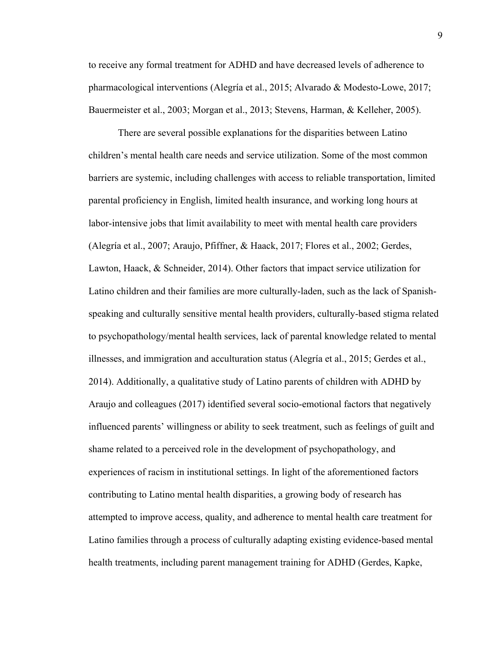to receive any formal treatment for ADHD and have decreased levels of adherence to pharmacological interventions (Alegría et al., 2015; Alvarado & Modesto-Lowe, 2017; Bauermeister et al., 2003; Morgan et al., 2013; Stevens, Harman, & Kelleher, 2005).

There are several possible explanations for the disparities between Latino children's mental health care needs and service utilization. Some of the most common barriers are systemic, including challenges with access to reliable transportation, limited parental proficiency in English, limited health insurance, and working long hours at labor-intensive jobs that limit availability to meet with mental health care providers (Alegría et al., 2007; Araujo, Pfiffner, & Haack, 2017; Flores et al., 2002; Gerdes, Lawton, Haack, & Schneider, 2014). Other factors that impact service utilization for Latino children and their families are more culturally-laden, such as the lack of Spanishspeaking and culturally sensitive mental health providers, culturally-based stigma related to psychopathology/mental health services, lack of parental knowledge related to mental illnesses, and immigration and acculturation status (Alegría et al., 2015; Gerdes et al., 2014). Additionally, a qualitative study of Latino parents of children with ADHD by Araujo and colleagues (2017) identified several socio-emotional factors that negatively influenced parents' willingness or ability to seek treatment, such as feelings of guilt and shame related to a perceived role in the development of psychopathology, and experiences of racism in institutional settings. In light of the aforementioned factors contributing to Latino mental health disparities, a growing body of research has attempted to improve access, quality, and adherence to mental health care treatment for Latino families through a process of culturally adapting existing evidence-based mental health treatments, including parent management training for ADHD (Gerdes, Kapke,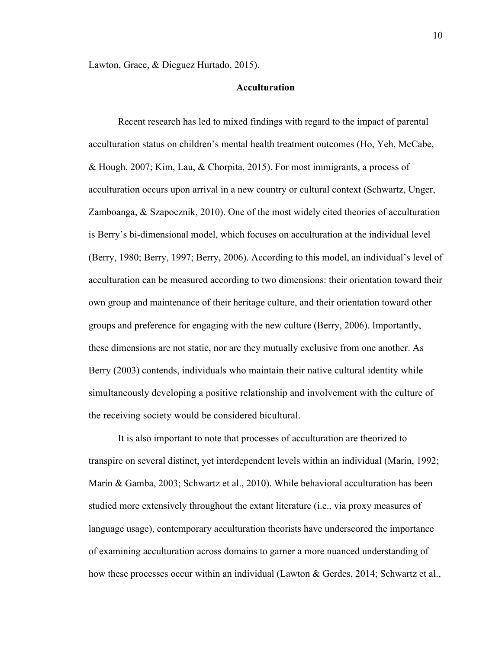Lawton, Grace, & Dieguez Hurtado, 2015).

# **Acculturation**

Recent research has led to mixed findings with regard to the impact of parental acculturation status on children's mental health treatment outcomes (Ho, Yeh, McCabe, & Hough, 2007; Kim, Lau, & Chorpita, 2015). For most immigrants, a process of acculturation occurs upon arrival in a new country or cultural context (Schwartz, Unger, Zamboanga, & Szapocznik, 2010). One of the most widely cited theories of acculturation is Berry's bi-dimensional model, which focuses on acculturation at the individual level (Berry, 1980; Berry, 1997; Berry, 2006). According to this model, an individual's level of acculturation can be measured according to two dimensions: their orientation toward their own group and maintenance of their heritage culture, and their orientation toward other groups and preference for engaging with the new culture (Berry, 2006). Importantly, these dimensions are not static, nor are they mutually exclusive from one another. As Berry (2003) contends, individuals who maintain their native cultural identity while simultaneously developing a positive relationship and involvement with the culture of the receiving society would be considered bicultural.

It is also important to note that processes of acculturation are theorized to transpire on several distinct, yet interdependent levels within an individual (Marín, 1992; Marín & Gamba, 2003; Schwartz et al., 2010). While behavioral acculturation has been studied more extensively throughout the extant literature (i.e., via proxy measures of language usage), contemporary acculturation theorists have underscored the importance of examining acculturation across domains to garner a more nuanced understanding of how these processes occur within an individual (Lawton & Gerdes, 2014; Schwartz et al.,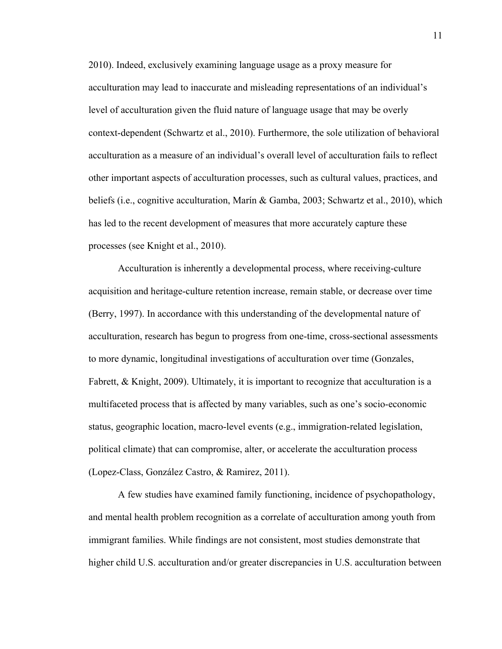2010). Indeed, exclusively examining language usage as a proxy measure for acculturation may lead to inaccurate and misleading representations of an individual's level of acculturation given the fluid nature of language usage that may be overly context-dependent (Schwartz et al., 2010). Furthermore, the sole utilization of behavioral acculturation as a measure of an individual's overall level of acculturation fails to reflect other important aspects of acculturation processes, such as cultural values, practices, and beliefs (i.e., cognitive acculturation, Marín & Gamba, 2003; Schwartz et al., 2010), which has led to the recent development of measures that more accurately capture these processes (see Knight et al., 2010).

Acculturation is inherently a developmental process, where receiving-culture acquisition and heritage-culture retention increase, remain stable, or decrease over time (Berry, 1997). In accordance with this understanding of the developmental nature of acculturation, research has begun to progress from one-time, cross-sectional assessments to more dynamic, longitudinal investigations of acculturation over time (Gonzales, Fabrett, & Knight, 2009). Ultimately, it is important to recognize that acculturation is a multifaceted process that is affected by many variables, such as one's socio-economic status, geographic location, macro-level events (e.g., immigration-related legislation, political climate) that can compromise, alter, or accelerate the acculturation process (Lopez-Class, González Castro, & Ramirez, 2011).

A few studies have examined family functioning, incidence of psychopathology, and mental health problem recognition as a correlate of acculturation among youth from immigrant families. While findings are not consistent, most studies demonstrate that higher child U.S. acculturation and/or greater discrepancies in U.S. acculturation between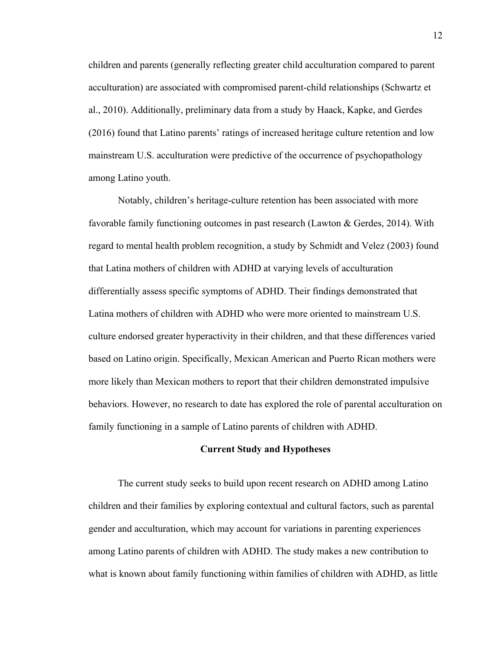children and parents (generally reflecting greater child acculturation compared to parent acculturation) are associated with compromised parent-child relationships (Schwartz et al., 2010). Additionally, preliminary data from a study by Haack, Kapke, and Gerdes (2016) found that Latino parents' ratings of increased heritage culture retention and low mainstream U.S. acculturation were predictive of the occurrence of psychopathology among Latino youth.

Notably, children's heritage-culture retention has been associated with more favorable family functioning outcomes in past research (Lawton & Gerdes, 2014). With regard to mental health problem recognition, a study by Schmidt and Velez (2003) found that Latina mothers of children with ADHD at varying levels of acculturation differentially assess specific symptoms of ADHD. Their findings demonstrated that Latina mothers of children with ADHD who were more oriented to mainstream U.S. culture endorsed greater hyperactivity in their children, and that these differences varied based on Latino origin. Specifically, Mexican American and Puerto Rican mothers were more likely than Mexican mothers to report that their children demonstrated impulsive behaviors. However, no research to date has explored the role of parental acculturation on family functioning in a sample of Latino parents of children with ADHD.

#### **Current Study and Hypotheses**

The current study seeks to build upon recent research on ADHD among Latino children and their families by exploring contextual and cultural factors, such as parental gender and acculturation, which may account for variations in parenting experiences among Latino parents of children with ADHD. The study makes a new contribution to what is known about family functioning within families of children with ADHD, as little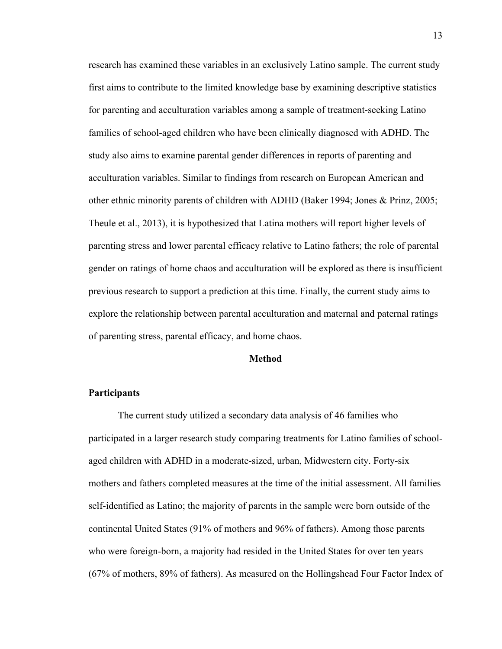research has examined these variables in an exclusively Latino sample. The current study first aims to contribute to the limited knowledge base by examining descriptive statistics for parenting and acculturation variables among a sample of treatment-seeking Latino families of school-aged children who have been clinically diagnosed with ADHD. The study also aims to examine parental gender differences in reports of parenting and acculturation variables. Similar to findings from research on European American and other ethnic minority parents of children with ADHD (Baker 1994; Jones & Prinz, 2005; Theule et al., 2013), it is hypothesized that Latina mothers will report higher levels of parenting stress and lower parental efficacy relative to Latino fathers; the role of parental gender on ratings of home chaos and acculturation will be explored as there is insufficient previous research to support a prediction at this time. Finally, the current study aims to explore the relationship between parental acculturation and maternal and paternal ratings of parenting stress, parental efficacy, and home chaos.

#### **Method**

# **Participants**

The current study utilized a secondary data analysis of 46 families who participated in a larger research study comparing treatments for Latino families of schoolaged children with ADHD in a moderate-sized, urban, Midwestern city. Forty-six mothers and fathers completed measures at the time of the initial assessment. All families self-identified as Latino; the majority of parents in the sample were born outside of the continental United States (91% of mothers and 96% of fathers). Among those parents who were foreign-born, a majority had resided in the United States for over ten years (67% of mothers, 89% of fathers). As measured on the Hollingshead Four Factor Index of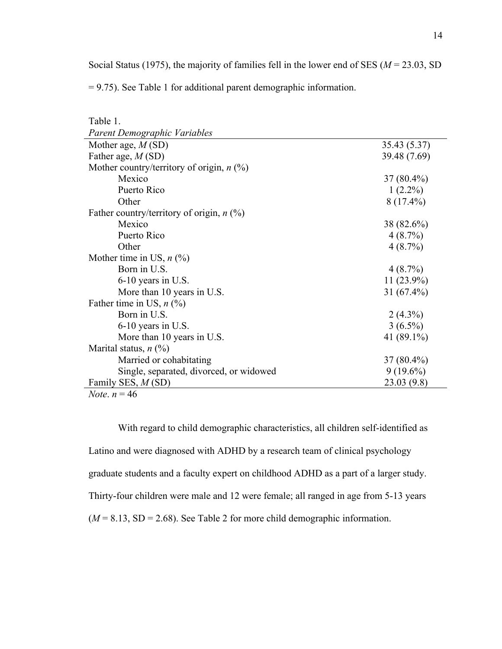Social Status (1975), the majority of families fell in the lower end of SES (*M* = 23.03, SD

= 9.75). See Table 1 for additional parent demographic information.

| Table 1.                                    |               |
|---------------------------------------------|---------------|
| Parent Demographic Variables                |               |
| Mother age, $M(SD)$                         | 35.43 (5.37)  |
| Father age, $M(SD)$                         | 39.48 (7.69)  |
| Mother country/territory of origin, $n$ (%) |               |
| Mexico                                      | $37(80.4\%)$  |
| Puerto Rico                                 | $1(2.2\%)$    |
| Other                                       | $8(17.4\%)$   |
| Father country/territory of origin, $n$ (%) |               |
| Mexico                                      | 38 (82.6%)    |
| Puerto Rico                                 | 4(8.7%)       |
| Other                                       | 4(8.7%)       |
| Mother time in US, $n$ (%)                  |               |
| Born in U.S.                                | 4(8.7%)       |
| 6-10 years in U.S.                          | $11(23.9\%)$  |
| More than 10 years in U.S.                  | 31 $(67.4\%)$ |
| Father time in US, $n$ (%)                  |               |
| Born in U.S.                                | $2(4.3\%)$    |
| 6-10 years in U.S.                          | $3(6.5\%)$    |
| More than 10 years in U.S.                  | 41 (89.1%)    |
| Marital status, $n$ (%)                     |               |
| Married or cohabitating                     | $37(80.4\%)$  |
| Single, separated, divorced, or widowed     | $9(19.6\%)$   |
| Family SES, M (SD)                          | 23.03(9.8)    |
| <i>Note</i> . $n = 46$                      |               |

With regard to child demographic characteristics, all children self-identified as Latino and were diagnosed with ADHD by a research team of clinical psychology graduate students and a faculty expert on childhood ADHD as a part of a larger study. Thirty-four children were male and 12 were female; all ranged in age from 5-13 years  $(M = 8.13, SD = 2.68)$ . See Table 2 for more child demographic information.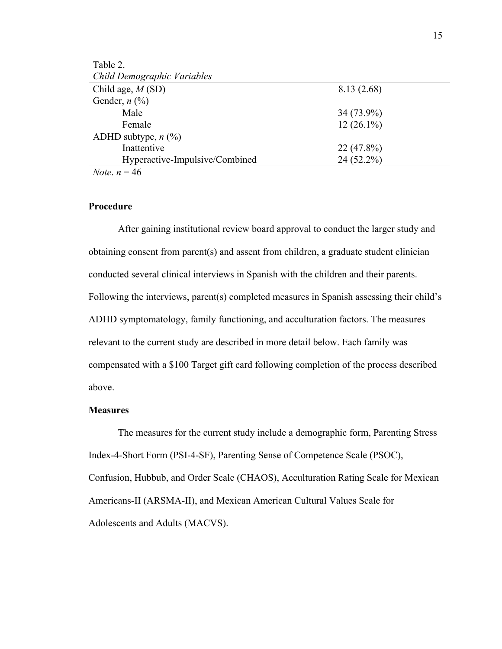| Table 2.                       |              |  |
|--------------------------------|--------------|--|
| Child Demographic Variables    |              |  |
| Child age, $M(SD)$             | 8.13 (2.68)  |  |
| Gender, $n$ (%)                |              |  |
| Male                           | $34(73.9\%)$ |  |
| Female                         | $12(26.1\%)$ |  |
| ADHD subtype, $n$ (%)          |              |  |
| Inattentive                    | $22(47.8\%)$ |  |
| Hyperactive-Impulsive/Combined | $24(52.2\%)$ |  |
| <i>Note</i> . $n = 46$         |              |  |

# **Procedure**

After gaining institutional review board approval to conduct the larger study and obtaining consent from parent(s) and assent from children, a graduate student clinician conducted several clinical interviews in Spanish with the children and their parents. Following the interviews, parent(s) completed measures in Spanish assessing their child's ADHD symptomatology, family functioning, and acculturation factors. The measures relevant to the current study are described in more detail below. Each family was compensated with a \$100 Target gift card following completion of the process described above.

# **Measures**

The measures for the current study include a demographic form, Parenting Stress Index-4-Short Form (PSI-4-SF), Parenting Sense of Competence Scale (PSOC), Confusion, Hubbub, and Order Scale (CHAOS), Acculturation Rating Scale for Mexican Americans-II (ARSMA-II), and Mexican American Cultural Values Scale for Adolescents and Adults (MACVS).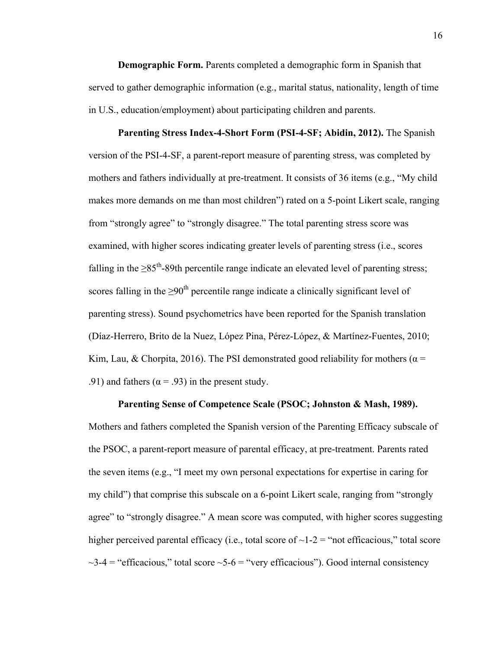**Demographic Form.** Parents completed a demographic form in Spanish that served to gather demographic information (e.g., marital status, nationality, length of time in U.S., education/employment) about participating children and parents.

**Parenting Stress Index-4-Short Form (PSI-4-SF; Abidin, 2012).** The Spanish version of the PSI-4-SF, a parent-report measure of parenting stress, was completed by mothers and fathers individually at pre-treatment. It consists of 36 items (e.g., "My child makes more demands on me than most children") rated on a 5-point Likert scale, ranging from "strongly agree" to "strongly disagree." The total parenting stress score was examined, with higher scores indicating greater levels of parenting stress (i.e., scores falling in the  $>85<sup>th</sup>$ -89th percentile range indicate an elevated level of parenting stress; scores falling in the  $\geq 90^{\text{th}}$  percentile range indicate a clinically significant level of parenting stress). Sound psychometrics have been reported for the Spanish translation (Díaz-Herrero, Brito de la Nuez, López Pina, Pérez-López, & Martínez-Fuentes, 2010; Kim, Lau, & Chorpita, 2016). The PSI demonstrated good reliability for mothers ( $\alpha$  = .91) and fathers ( $\alpha$  = .93) in the present study.

**Parenting Sense of Competence Scale (PSOC; Johnston & Mash, 1989).**

Mothers and fathers completed the Spanish version of the Parenting Efficacy subscale of the PSOC, a parent-report measure of parental efficacy, at pre-treatment. Parents rated the seven items (e.g., "I meet my own personal expectations for expertise in caring for my child") that comprise this subscale on a 6-point Likert scale, ranging from "strongly agree" to "strongly disagree." A mean score was computed, with higher scores suggesting higher perceived parental efficacy (i.e., total score of  $\sim$ 1-2 = "not efficacious," total score  $\sim$ 3-4 = "efficacious," total score  $\sim$ 5-6 = "very efficacious"). Good internal consistency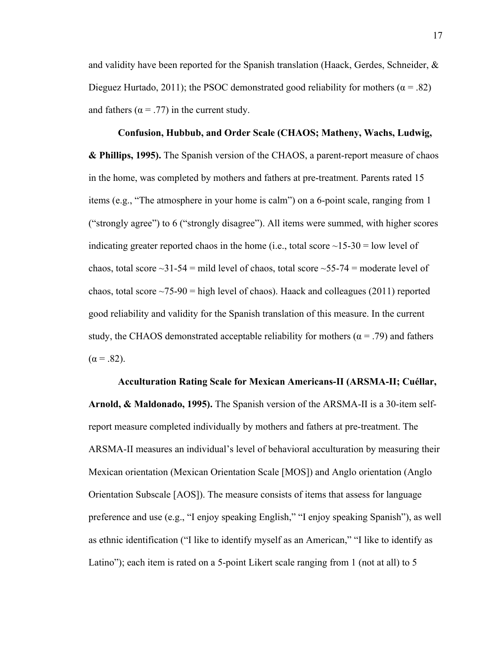and validity have been reported for the Spanish translation (Haack, Gerdes, Schneider,  $\&$ Dieguez Hurtado, 2011); the PSOC demonstrated good reliability for mothers ( $\alpha$  = .82) and fathers ( $\alpha$  = .77) in the current study.

**Confusion, Hubbub, and Order Scale (CHAOS; Matheny, Wachs, Ludwig, & Phillips, 1995).** The Spanish version of the CHAOS, a parent-report measure of chaos in the home, was completed by mothers and fathers at pre-treatment. Parents rated 15 items (e.g., "The atmosphere in your home is calm") on a 6-point scale, ranging from 1 ("strongly agree") to 6 ("strongly disagree"). All items were summed, with higher scores indicating greater reported chaos in the home (i.e., total score  $\sim$ 15-30 = low level of chaos, total score  $\sim$ 31-54 = mild level of chaos, total score  $\sim$ 55-74 = moderate level of chaos, total score  $\sim$ 75-90 = high level of chaos). Haack and colleagues (2011) reported good reliability and validity for the Spanish translation of this measure. In the current study, the CHAOS demonstrated acceptable reliability for mothers ( $\alpha$  = .79) and fathers  $(\alpha = .82)$ .

**Acculturation Rating Scale for Mexican Americans-II (ARSMA-II; Cuéllar, Arnold, & Maldonado, 1995).** The Spanish version of the ARSMA-II is a 30-item selfreport measure completed individually by mothers and fathers at pre-treatment. The ARSMA-II measures an individual's level of behavioral acculturation by measuring their Mexican orientation (Mexican Orientation Scale [MOS]) and Anglo orientation (Anglo Orientation Subscale [AOS]). The measure consists of items that assess for language preference and use (e.g., "I enjoy speaking English," "I enjoy speaking Spanish"), as well as ethnic identification ("I like to identify myself as an American," "I like to identify as Latino"); each item is rated on a 5-point Likert scale ranging from 1 (not at all) to 5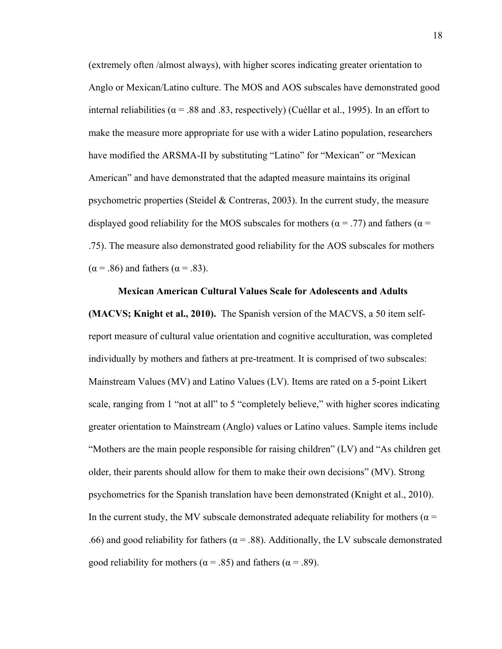(extremely often /almost always), with higher scores indicating greater orientation to Anglo or Mexican/Latino culture. The MOS and AOS subscales have demonstrated good internal reliabilities ( $\alpha$  = .88 and .83, respectively) (Cuéllar et al., 1995). In an effort to make the measure more appropriate for use with a wider Latino population, researchers have modified the ARSMA-II by substituting "Latino" for "Mexican" or "Mexican American" and have demonstrated that the adapted measure maintains its original psychometric properties (Steidel  $\&$  Contreras, 2003). In the current study, the measure displayed good reliability for the MOS subscales for mothers ( $\alpha$  = .77) and fathers ( $\alpha$  = .75). The measure also demonstrated good reliability for the AOS subscales for mothers  $(\alpha = .86)$  and fathers  $(\alpha = .83)$ .

**Mexican American Cultural Values Scale for Adolescents and Adults (MACVS; Knight et al., 2010).** The Spanish version of the MACVS, a 50 item selfreport measure of cultural value orientation and cognitive acculturation, was completed individually by mothers and fathers at pre-treatment. It is comprised of two subscales: Mainstream Values (MV) and Latino Values (LV). Items are rated on a 5-point Likert scale, ranging from 1 "not at all" to 5 "completely believe," with higher scores indicating greater orientation to Mainstream (Anglo) values or Latino values. Sample items include "Mothers are the main people responsible for raising children" (LV) and "As children get older, their parents should allow for them to make their own decisions" (MV). Strong psychometrics for the Spanish translation have been demonstrated (Knight et al., 2010). In the current study, the MV subscale demonstrated adequate reliability for mothers ( $\alpha$  = .66) and good reliability for fathers ( $\alpha$  = .88). Additionally, the LV subscale demonstrated good reliability for mothers ( $\alpha$  = .85) and fathers ( $\alpha$  = .89).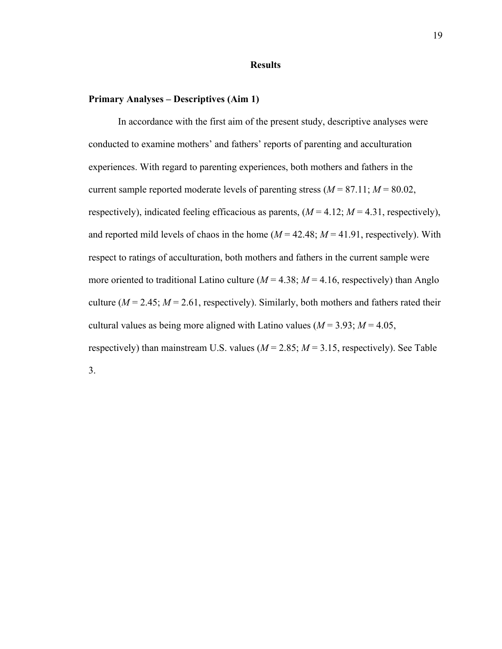# **Results**

# **Primary Analyses – Descriptives (Aim 1)**

In accordance with the first aim of the present study, descriptive analyses were conducted to examine mothers' and fathers' reports of parenting and acculturation experiences. With regard to parenting experiences, both mothers and fathers in the current sample reported moderate levels of parenting stress  $(M = 87.11; M = 80.02$ , respectively), indicated feeling efficacious as parents,  $(M = 4.12; M = 4.31$ , respectively), and reported mild levels of chaos in the home  $(M = 42.48; M = 41.91$ , respectively). With respect to ratings of acculturation, both mothers and fathers in the current sample were more oriented to traditional Latino culture  $(M = 4.38; M = 4.16$ , respectively) than Anglo culture ( $M = 2.45$ ;  $M = 2.61$ , respectively). Similarly, both mothers and fathers rated their cultural values as being more aligned with Latino values ( $M = 3.93$ ;  $M = 4.05$ , respectively) than mainstream U.S. values  $(M = 2.85; M = 3.15$ , respectively). See Table 3.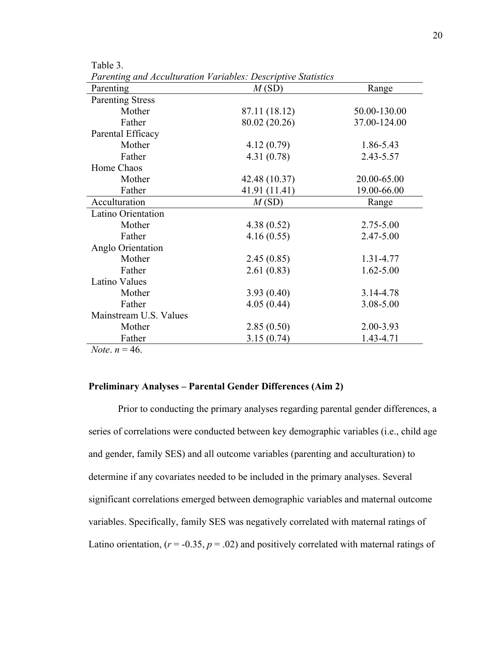| Parenting                | M(SD)         | Range         |
|--------------------------|---------------|---------------|
| <b>Parenting Stress</b>  |               |               |
| Mother                   | 87.11 (18.12) | 50.00-130.00  |
| Father                   | 80.02 (20.26) | 37.00-124.00  |
| Parental Efficacy        |               |               |
| Mother                   | 4.12(0.79)    | 1.86-5.43     |
| Father                   | 4.31(0.78)    | 2.43-5.57     |
| Home Chaos               |               |               |
| Mother                   | 42.48 (10.37) | 20.00-65.00   |
| Father                   | 41.91 (11.41) | 19.00-66.00   |
| Acculturation            | M(SD)         | Range         |
| Latino Orientation       |               |               |
| Mother                   | 4.38(0.52)    | 2.75-5.00     |
| Father                   | 4.16(0.55)    | 2.47-5.00     |
| Anglo Orientation        |               |               |
| Mother                   | 2.45(0.85)    | 1.31-4.77     |
| Father                   | 2.61(0.83)    | $1.62 - 5.00$ |
| <b>Latino Values</b>     |               |               |
| Mother                   | 3.93(0.40)    | 3.14-4.78     |
| Father                   | 4.05(0.44)    | 3.08-5.00     |
| Mainstream U.S. Values   |               |               |
| Mother                   | 2.85(0.50)    | 2.00-3.93     |
| Father                   | 3.15(0.74)    | 1.43-4.71     |
| <i>Note</i> . $n = 46$ . |               |               |

*Parenting and Acculturation Variables: Descriptive Statistics* 

Table 3.

# **Preliminary Analyses – Parental Gender Differences (Aim 2)**

Prior to conducting the primary analyses regarding parental gender differences, a series of correlations were conducted between key demographic variables (i.e., child age and gender, family SES) and all outcome variables (parenting and acculturation) to determine if any covariates needed to be included in the primary analyses. Several significant correlations emerged between demographic variables and maternal outcome variables. Specifically, family SES was negatively correlated with maternal ratings of Latino orientation,  $(r = -0.35, p = .02)$  and positively correlated with maternal ratings of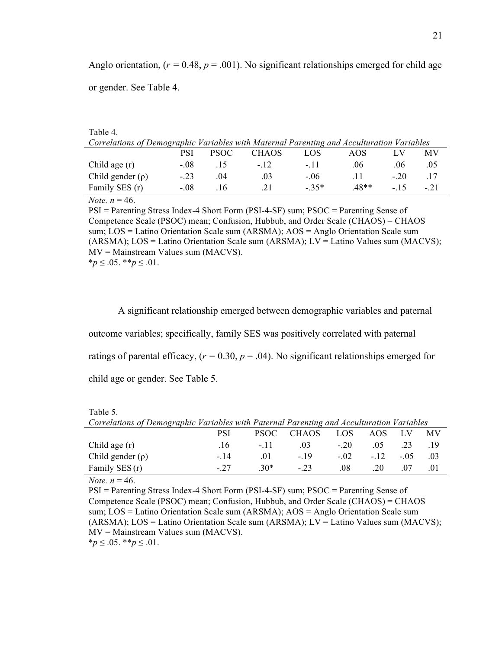Anglo orientation,  $(r = 0.48, p = .001)$ . No significant relationships emerged for child age or gender. See Table 4.

| Table 4.                                                                                  |        |             |       |        |      |       |       |  |  |
|-------------------------------------------------------------------------------------------|--------|-------------|-------|--------|------|-------|-------|--|--|
| Correlations of Demographic Variables with Maternal Parenting and Acculturation Variables |        |             |       |        |      |       |       |  |  |
|                                                                                           | PSI    | <b>PSOC</b> | CHAOS | LOS    | AOS  |       | МV    |  |  |
| Child age $(r)$                                                                           | $-.08$ | . 15        | $-12$ | - 11   | .06  | .06   | .05   |  |  |
| Child gender $(\rho)$                                                                     | $-23$  | .04         | .03   | $-.06$ | .11  | $-20$ | .17   |  |  |
| Family SES (r)                                                                            | $-.08$ | -16         | .21   | $-35*$ | 48** | - 15  | $-21$ |  |  |
| $\mathbf{v}$<br>$\sim$                                                                    |        |             |       |        |      |       |       |  |  |

*Note.*  $n = 46$ .

PSI = Parenting Stress Index-4 Short Form (PSI-4-SF) sum; PSOC = Parenting Sense of Competence Scale (PSOC) mean; Confusion, Hubbub, and Order Scale (CHAOS) = CHAOS sum; LOS = Latino Orientation Scale sum (ARSMA); AOS = Anglo Orientation Scale sum (ARSMA); LOS = Latino Orientation Scale sum (ARSMA); LV = Latino Values sum (MACVS); MV = Mainstream Values sum (MACVS). \**p* ≤ .05. \*\**p* ≤ .01.

A significant relationship emerged between demographic variables and paternal outcome variables; specifically, family SES was positively correlated with paternal ratings of parental efficacy,  $(r = 0.30, p = .04)$ . No significant relationships emerged for child age or gender. See Table 5.

| Correlations of Demographic Variables with Paternal Parenting and Acculturation Variables |      |       |            |            |            |     |           |
|-------------------------------------------------------------------------------------------|------|-------|------------|------------|------------|-----|-----------|
|                                                                                           | PSI. |       | PSOC CHAOS | <b>LOS</b> | AOS —      |     | <b>MV</b> |
| Child age (r)                                                                             | -16  | $-11$ | $03 -$     | $-20$      | 0.5        | -23 |           |
| Child gender $(\rho)$                                                                     | - 14 | -01   | $-19$      | $-02$      | $-12 - 05$ |     | - 03      |
| Family SES (r)                                                                            | - 27 | $30*$ | $-23$      | .08        | 20         | 07  | .01       |

Table 5.

*Note.*  $n = 46$ .

PSI = Parenting Stress Index-4 Short Form (PSI-4-SF) sum; PSOC = Parenting Sense of Competence Scale (PSOC) mean; Confusion, Hubbub, and Order Scale (CHAOS) = CHAOS sum; LOS = Latino Orientation Scale sum (ARSMA); AOS = Anglo Orientation Scale sum (ARSMA); LOS = Latino Orientation Scale sum (ARSMA); LV = Latino Values sum (MACVS); MV = Mainstream Values sum (MACVS). \**p* ≤ .05. \*\**p* ≤ .01.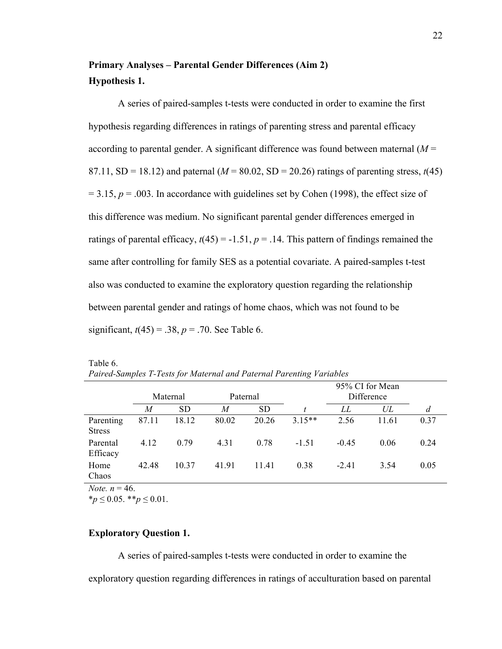# **Primary Analyses – Parental Gender Differences (Aim 2) Hypothesis 1.**

A series of paired-samples t-tests were conducted in order to examine the first hypothesis regarding differences in ratings of parenting stress and parental efficacy according to parental gender. A significant difference was found between maternal  $(M =$ 87.11, SD = 18.12) and paternal ( $M = 80.02$ , SD = 20.26) ratings of parenting stress,  $t(45)$  $= 3.15$ ,  $p = .003$ . In accordance with guidelines set by Cohen (1998), the effect size of this difference was medium. No significant parental gender differences emerged in ratings of parental efficacy,  $t(45) = -1.51$ ,  $p = 0.14$ . This pattern of findings remained the same after controlling for family SES as a potential covariate. A paired-samples t-test also was conducted to examine the exploratory question regarding the relationship between parental gender and ratings of home chaos, which was not found to be significant,  $t(45) = .38$ ,  $p = .70$ . See Table 6.

|                            | Maternal |           | Paternal |           |          | 95% CI for Mean<br>Difference |       |      |  |
|----------------------------|----------|-----------|----------|-----------|----------|-------------------------------|-------|------|--|
|                            | M        | <b>SD</b> | M        | <b>SD</b> | t        | LL                            | UL    | d    |  |
| Parenting<br><b>Stress</b> | 87.11    | 18.12     | 80.02    | 20.26     | $3.15**$ | 2.56                          | 11.61 | 0.37 |  |
| Parental<br>Efficacy       | 4.12     | 0.79      | 4.31     | 0.78      | $-1.51$  | $-0.45$                       | 0.06  | 0.24 |  |
| Home<br>Chaos              | 42.48    | 10.37     | 41.91    | 11.41     | 0.38     | $-2.41$                       | 3.54  | 0.05 |  |
| $\sim$ $\sim$<br>$\sim$    |          |           |          |           |          |                               |       |      |  |

Table 6. *Paired-Samples T-Tests for Maternal and Paternal Parenting Variables*

*Note.*  $n = 46$ .

 $*_{p} \leq 0.05$ . \*\* $p \leq 0.01$ .

# **Exploratory Question 1.**

A series of paired-samples t-tests were conducted in order to examine the exploratory question regarding differences in ratings of acculturation based on parental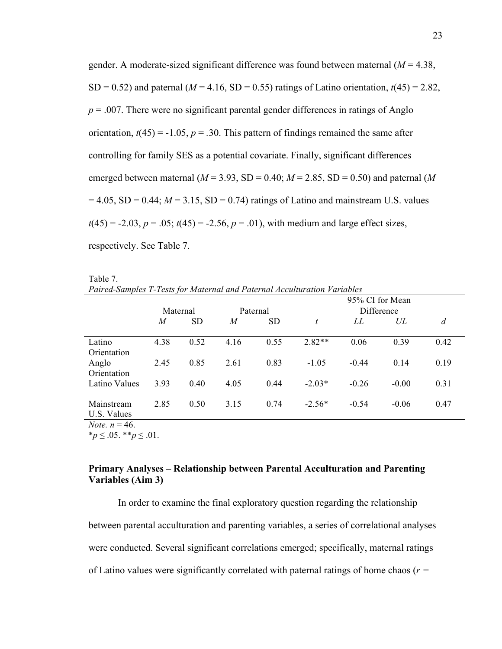gender. A moderate-sized significant difference was found between maternal (*M* = 4.38, SD = 0.52) and paternal ( $M = 4.16$ , SD = 0.55) ratings of Latino orientation,  $t(45) = 2.82$ ,  $p = 0.007$ . There were no significant parental gender differences in ratings of Anglo orientation,  $t(45) = -1.05$ ,  $p = .30$ . This pattern of findings remained the same after controlling for family SES as a potential covariate. Finally, significant differences emerged between maternal ( $M = 3.93$ , SD = 0.40;  $M = 2.85$ , SD = 0.50) and paternal ( $M$  $= 4.05$ , SD  $= 0.44$ ;  $M = 3.15$ , SD  $= 0.74$ ) ratings of Latino and mainstream U.S. values  $t(45) = -2.03$ ,  $p = .05$ ;  $t(45) = -2.56$ ,  $p = .01$ ), with medium and large effect sizes, respectively. See Table 7.

| Paired-Samples T-Tests for Maternal and Paternal Acculturation Variables |                  |           |          |           |          |                 |      |      |
|--------------------------------------------------------------------------|------------------|-----------|----------|-----------|----------|-----------------|------|------|
|                                                                          |                  |           |          |           |          | 95% CI for Mean |      |      |
|                                                                          | Maternal         |           | Paternal |           |          | Difference      |      |      |
|                                                                          | $\boldsymbol{M}$ | <b>SD</b> | M        | <b>SD</b> |          | LL              | UL   | d    |
| Latino                                                                   | 4.38             | 0.52      | 4.16     | 0.55      | $2.82**$ | 0.06            | 0.39 | 0.42 |
| Orientation<br>Anglo                                                     | 2.45             | 0.85      | 2.61     | 0.83      | $-1.05$  | $-0.44$         | 014  | 0.19 |
| Orientation                                                              |                  |           |          |           |          |                 |      |      |

Latino Values 3.93 0.40 4.05 0.44 -2.03\* -0.26 -0.00 0.31

2.85 0.50 3.15 0.74 -2.56\* -0.54 -0.06 0.47

| Table 7. |                                                                          |  |
|----------|--------------------------------------------------------------------------|--|
|          | Paired-Samples T-Tests for Maternal and Paternal Acculturation Variables |  |

U.S. Values *Note.*  $n = 46$ .

Mainstream

\**p* ≤ .05. \*\**p* ≤ .01.

# **Primary Analyses – Relationship between Parental Acculturation and Parenting Variables (Aim 3)**

In order to examine the final exploratory question regarding the relationship between parental acculturation and parenting variables, a series of correlational analyses were conducted. Several significant correlations emerged; specifically, maternal ratings of Latino values were significantly correlated with paternal ratings of home chaos (*r =*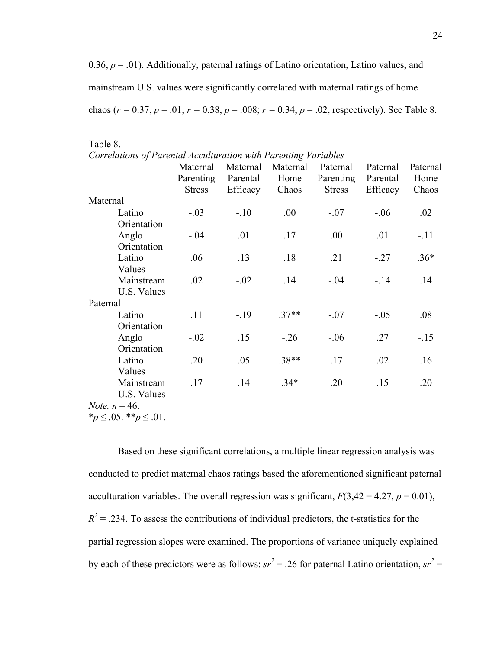0.36,  $p = 0.01$ ). Additionally, paternal ratings of Latino orientation, Latino values, and mainstream U.S. values were significantly correlated with maternal ratings of home chaos ( $r = 0.37$ ,  $p = .01$ ;  $r = 0.38$ ,  $p = .008$ ;  $r = 0.34$ ,  $p = .02$ , respectively). See Table 8.

| Table 8.    |                                                                      |          |         |               |          |        |  |  |  |  |  |
|-------------|----------------------------------------------------------------------|----------|---------|---------------|----------|--------|--|--|--|--|--|
|             | Correlations of Parental Acculturation with Parenting Variables      |          |         |               |          |        |  |  |  |  |  |
|             | Maternal<br>Maternal<br>Maternal<br>Paternal<br>Paternal<br>Paternal |          |         |               |          |        |  |  |  |  |  |
|             | Parenting                                                            | Parental | Home    | Parenting     | Parental | Home   |  |  |  |  |  |
|             | <b>Stress</b>                                                        | Efficacy | Chaos   | <b>Stress</b> | Efficacy | Chaos  |  |  |  |  |  |
| Maternal    |                                                                      |          |         |               |          |        |  |  |  |  |  |
| Latino      | $-.03$                                                               | $-.10$   | .00     | $-.07$        | $-.06$   | .02    |  |  |  |  |  |
| Orientation |                                                                      |          |         |               |          |        |  |  |  |  |  |
| Anglo       | $-.04$                                                               | .01      | .17     | .00.          | .01      | $-.11$ |  |  |  |  |  |
| Orientation |                                                                      |          |         |               |          |        |  |  |  |  |  |
| Latino      | .06                                                                  | .13      | .18     | .21           | $-.27$   | $.36*$ |  |  |  |  |  |
| Values      |                                                                      |          |         |               |          |        |  |  |  |  |  |
| Mainstream  | .02                                                                  | $-.02$   | .14     | $-.04$        | $-.14$   | .14    |  |  |  |  |  |
| U.S. Values |                                                                      |          |         |               |          |        |  |  |  |  |  |
| Paternal    |                                                                      |          |         |               |          |        |  |  |  |  |  |
| Latino      | .11                                                                  | $-.19$   | $.37**$ | $-.07$        | $-.05$   | .08    |  |  |  |  |  |
| Orientation |                                                                      |          |         |               |          |        |  |  |  |  |  |
| Anglo       | $-.02$                                                               | .15      | $-.26$  | $-.06$        | .27      | $-15$  |  |  |  |  |  |
| Orientation |                                                                      |          |         |               |          |        |  |  |  |  |  |
| Latino      | .20                                                                  | .05      | $.38**$ | .17           | .02      | .16    |  |  |  |  |  |
| Values      |                                                                      |          |         |               |          |        |  |  |  |  |  |
| Mainstream  | .17                                                                  | .14      | $.34*$  | .20           | .15      | .20    |  |  |  |  |  |
| U.S. Values |                                                                      |          |         |               |          |        |  |  |  |  |  |

*Note.*  $n = 46$ .

\**p* ≤ .05. \*\**p* ≤ .01.

Based on these significant correlations, a multiple linear regression analysis was conducted to predict maternal chaos ratings based the aforementioned significant paternal acculturation variables. The overall regression was significant,  $F(3,42 = 4.27, p = 0.01)$ ,  $R^2$  = .234. To assess the contributions of individual predictors, the t-statistics for the partial regression slopes were examined. The proportions of variance uniquely explained by each of these predictors were as follows:  $sr^2 = .26$  for paternal Latino orientation,  $sr^2 =$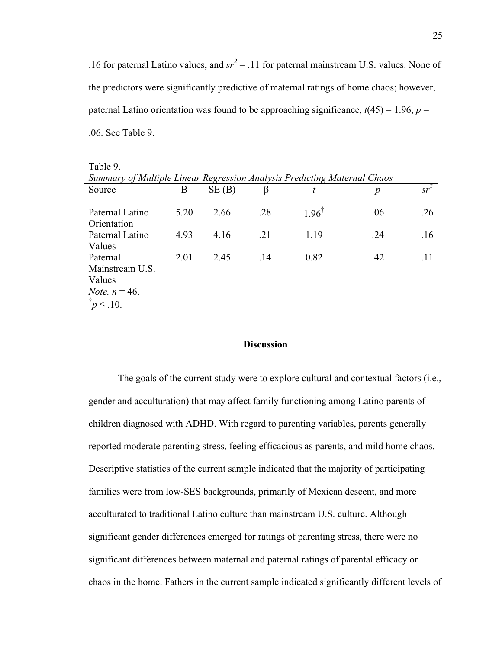.16 for paternal Latino values, and  $sr^2 = .11$  for paternal mainstream U.S. values. None of the predictors were significantly predictive of maternal ratings of home chaos; however, paternal Latino orientation was found to be approaching significance,  $t(45) = 1.96$ ,  $p =$ .06. See Table 9.

| Table 9.                                                                 |      |       |     |                  |     |        |  |  |
|--------------------------------------------------------------------------|------|-------|-----|------------------|-----|--------|--|--|
| Summary of Multiple Linear Regression Analysis Predicting Maternal Chaos |      |       |     |                  |     |        |  |  |
| Source                                                                   | B    | SE(B) | β   | t                | p   | $sr^2$ |  |  |
|                                                                          |      |       |     |                  |     |        |  |  |
| Paternal Latino                                                          | 5.20 | 2.66  | .28 | $1.96^{\degree}$ | .06 | .26    |  |  |
| Orientation                                                              |      |       |     |                  |     |        |  |  |
| Paternal Latino                                                          | 4.93 | 4.16  | .21 | 1.19             | .24 | .16    |  |  |
| Values                                                                   |      |       |     |                  |     |        |  |  |
| Paternal                                                                 | 2.01 | 2.45  | .14 | 0.82             | .42 | .11    |  |  |
| Mainstream U.S.                                                          |      |       |     |                  |     |        |  |  |
| Values                                                                   |      |       |     |                  |     |        |  |  |
| <i>Note.</i> $n = 46$ .                                                  |      |       |     |                  |     |        |  |  |
| $\overline{p} \leq .10$ .                                                |      |       |     |                  |     |        |  |  |

**Discussion**

The goals of the current study were to explore cultural and contextual factors (i.e., gender and acculturation) that may affect family functioning among Latino parents of children diagnosed with ADHD. With regard to parenting variables, parents generally reported moderate parenting stress, feeling efficacious as parents, and mild home chaos. Descriptive statistics of the current sample indicated that the majority of participating families were from low-SES backgrounds, primarily of Mexican descent, and more acculturated to traditional Latino culture than mainstream U.S. culture. Although significant gender differences emerged for ratings of parenting stress, there were no significant differences between maternal and paternal ratings of parental efficacy or chaos in the home. Fathers in the current sample indicated significantly different levels of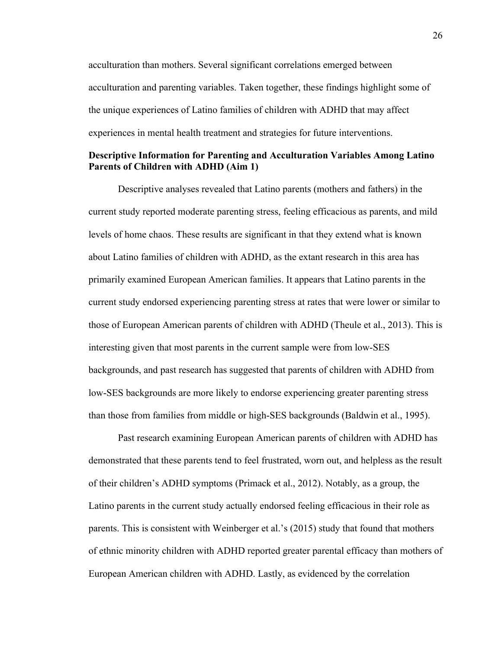acculturation than mothers. Several significant correlations emerged between acculturation and parenting variables. Taken together, these findings highlight some of the unique experiences of Latino families of children with ADHD that may affect experiences in mental health treatment and strategies for future interventions.

# **Descriptive Information for Parenting and Acculturation Variables Among Latino Parents of Children with ADHD (Aim 1)**

Descriptive analyses revealed that Latino parents (mothers and fathers) in the current study reported moderate parenting stress, feeling efficacious as parents, and mild levels of home chaos. These results are significant in that they extend what is known about Latino families of children with ADHD, as the extant research in this area has primarily examined European American families. It appears that Latino parents in the current study endorsed experiencing parenting stress at rates that were lower or similar to those of European American parents of children with ADHD (Theule et al., 2013). This is interesting given that most parents in the current sample were from low-SES backgrounds, and past research has suggested that parents of children with ADHD from low-SES backgrounds are more likely to endorse experiencing greater parenting stress than those from families from middle or high-SES backgrounds (Baldwin et al., 1995).

Past research examining European American parents of children with ADHD has demonstrated that these parents tend to feel frustrated, worn out, and helpless as the result of their children's ADHD symptoms (Primack et al., 2012). Notably, as a group, the Latino parents in the current study actually endorsed feeling efficacious in their role as parents. This is consistent with Weinberger et al.'s (2015) study that found that mothers of ethnic minority children with ADHD reported greater parental efficacy than mothers of European American children with ADHD. Lastly, as evidenced by the correlation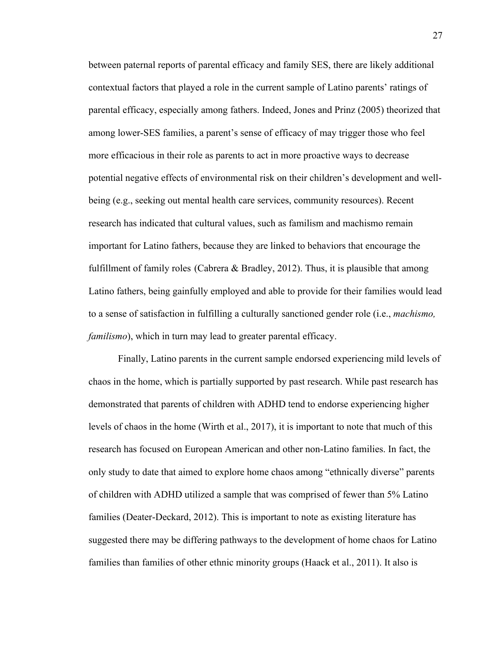between paternal reports of parental efficacy and family SES, there are likely additional contextual factors that played a role in the current sample of Latino parents' ratings of parental efficacy, especially among fathers. Indeed, Jones and Prinz (2005) theorized that among lower-SES families, a parent's sense of efficacy of may trigger those who feel more efficacious in their role as parents to act in more proactive ways to decrease potential negative effects of environmental risk on their children's development and wellbeing (e.g., seeking out mental health care services, community resources). Recent research has indicated that cultural values, such as familism and machismo remain important for Latino fathers, because they are linked to behaviors that encourage the fulfillment of family roles (Cabrera & Bradley, 2012). Thus, it is plausible that among Latino fathers, being gainfully employed and able to provide for their families would lead to a sense of satisfaction in fulfilling a culturally sanctioned gender role (i.e., *machismo, familismo*), which in turn may lead to greater parental efficacy.

Finally, Latino parents in the current sample endorsed experiencing mild levels of chaos in the home, which is partially supported by past research. While past research has demonstrated that parents of children with ADHD tend to endorse experiencing higher levels of chaos in the home (Wirth et al., 2017), it is important to note that much of this research has focused on European American and other non-Latino families. In fact, the only study to date that aimed to explore home chaos among "ethnically diverse" parents of children with ADHD utilized a sample that was comprised of fewer than 5% Latino families (Deater-Deckard, 2012). This is important to note as existing literature has suggested there may be differing pathways to the development of home chaos for Latino families than families of other ethnic minority groups (Haack et al., 2011). It also is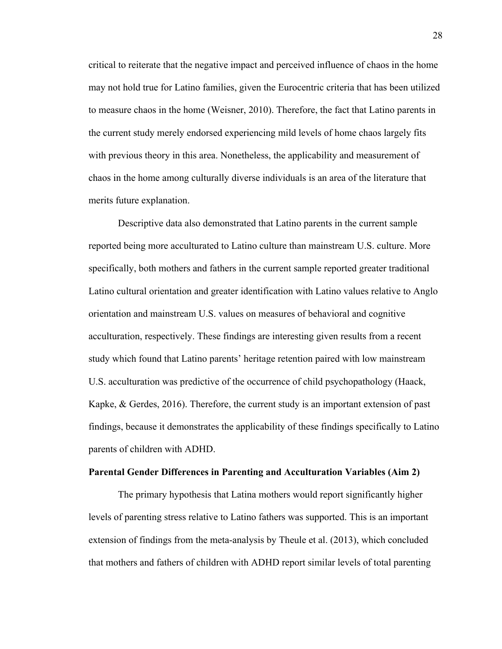critical to reiterate that the negative impact and perceived influence of chaos in the home may not hold true for Latino families, given the Eurocentric criteria that has been utilized to measure chaos in the home (Weisner, 2010). Therefore, the fact that Latino parents in the current study merely endorsed experiencing mild levels of home chaos largely fits with previous theory in this area. Nonetheless, the applicability and measurement of chaos in the home among culturally diverse individuals is an area of the literature that merits future explanation.

Descriptive data also demonstrated that Latino parents in the current sample reported being more acculturated to Latino culture than mainstream U.S. culture. More specifically, both mothers and fathers in the current sample reported greater traditional Latino cultural orientation and greater identification with Latino values relative to Anglo orientation and mainstream U.S. values on measures of behavioral and cognitive acculturation, respectively. These findings are interesting given results from a recent study which found that Latino parents' heritage retention paired with low mainstream U.S. acculturation was predictive of the occurrence of child psychopathology (Haack, Kapke,  $\&$  Gerdes, 2016). Therefore, the current study is an important extension of past findings, because it demonstrates the applicability of these findings specifically to Latino parents of children with ADHD.

#### **Parental Gender Differences in Parenting and Acculturation Variables (Aim 2)**

The primary hypothesis that Latina mothers would report significantly higher levels of parenting stress relative to Latino fathers was supported. This is an important extension of findings from the meta-analysis by Theule et al. (2013), which concluded that mothers and fathers of children with ADHD report similar levels of total parenting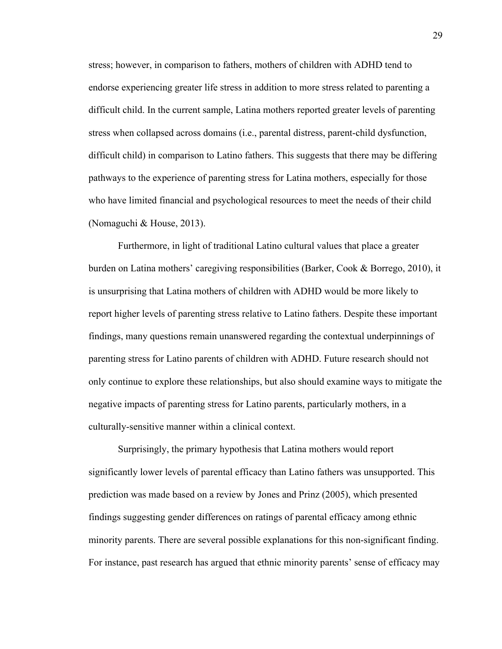stress; however, in comparison to fathers, mothers of children with ADHD tend to endorse experiencing greater life stress in addition to more stress related to parenting a difficult child. In the current sample, Latina mothers reported greater levels of parenting stress when collapsed across domains (i.e., parental distress, parent-child dysfunction, difficult child) in comparison to Latino fathers. This suggests that there may be differing pathways to the experience of parenting stress for Latina mothers, especially for those who have limited financial and psychological resources to meet the needs of their child (Nomaguchi & House, 2013).

Furthermore, in light of traditional Latino cultural values that place a greater burden on Latina mothers' caregiving responsibilities (Barker, Cook & Borrego, 2010), it is unsurprising that Latina mothers of children with ADHD would be more likely to report higher levels of parenting stress relative to Latino fathers. Despite these important findings, many questions remain unanswered regarding the contextual underpinnings of parenting stress for Latino parents of children with ADHD. Future research should not only continue to explore these relationships, but also should examine ways to mitigate the negative impacts of parenting stress for Latino parents, particularly mothers, in a culturally-sensitive manner within a clinical context.

Surprisingly, the primary hypothesis that Latina mothers would report significantly lower levels of parental efficacy than Latino fathers was unsupported. This prediction was made based on a review by Jones and Prinz (2005), which presented findings suggesting gender differences on ratings of parental efficacy among ethnic minority parents. There are several possible explanations for this non-significant finding. For instance, past research has argued that ethnic minority parents' sense of efficacy may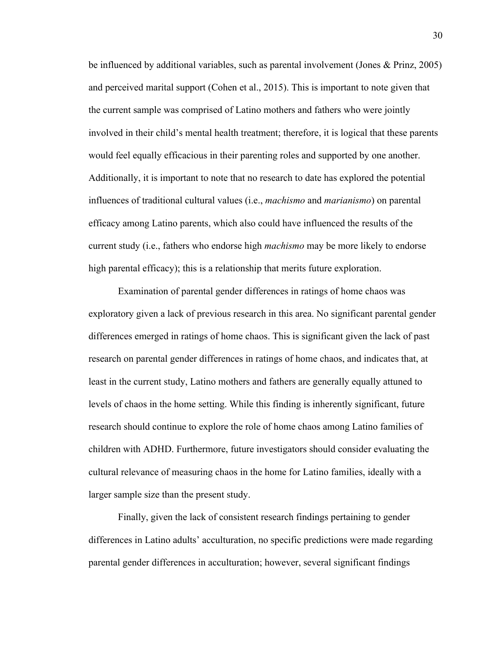be influenced by additional variables, such as parental involvement (Jones & Prinz, 2005) and perceived marital support (Cohen et al., 2015). This is important to note given that the current sample was comprised of Latino mothers and fathers who were jointly involved in their child's mental health treatment; therefore, it is logical that these parents would feel equally efficacious in their parenting roles and supported by one another. Additionally, it is important to note that no research to date has explored the potential influences of traditional cultural values (i.e., *machismo* and *marianismo*) on parental efficacy among Latino parents, which also could have influenced the results of the current study (i.e., fathers who endorse high *machismo* may be more likely to endorse high parental efficacy); this is a relationship that merits future exploration.

Examination of parental gender differences in ratings of home chaos was exploratory given a lack of previous research in this area. No significant parental gender differences emerged in ratings of home chaos. This is significant given the lack of past research on parental gender differences in ratings of home chaos, and indicates that, at least in the current study, Latino mothers and fathers are generally equally attuned to levels of chaos in the home setting. While this finding is inherently significant, future research should continue to explore the role of home chaos among Latino families of children with ADHD. Furthermore, future investigators should consider evaluating the cultural relevance of measuring chaos in the home for Latino families, ideally with a larger sample size than the present study.

Finally, given the lack of consistent research findings pertaining to gender differences in Latino adults' acculturation, no specific predictions were made regarding parental gender differences in acculturation; however, several significant findings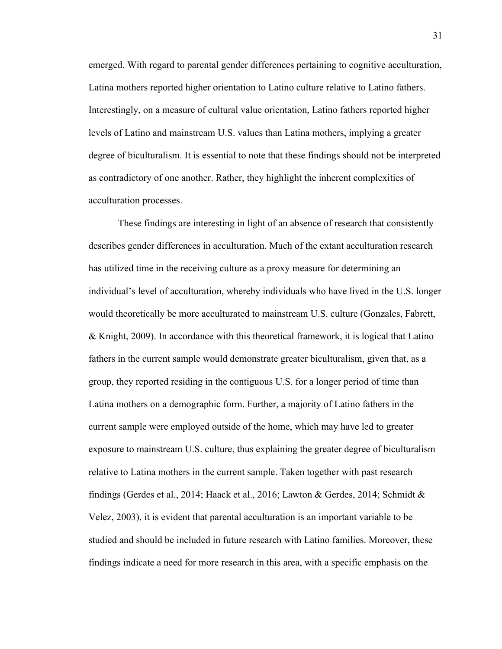emerged. With regard to parental gender differences pertaining to cognitive acculturation, Latina mothers reported higher orientation to Latino culture relative to Latino fathers. Interestingly, on a measure of cultural value orientation, Latino fathers reported higher levels of Latino and mainstream U.S. values than Latina mothers, implying a greater degree of biculturalism. It is essential to note that these findings should not be interpreted as contradictory of one another. Rather, they highlight the inherent complexities of acculturation processes.

These findings are interesting in light of an absence of research that consistently describes gender differences in acculturation. Much of the extant acculturation research has utilized time in the receiving culture as a proxy measure for determining an individual's level of acculturation, whereby individuals who have lived in the U.S. longer would theoretically be more acculturated to mainstream U.S. culture (Gonzales, Fabrett, & Knight, 2009). In accordance with this theoretical framework, it is logical that Latino fathers in the current sample would demonstrate greater biculturalism, given that, as a group, they reported residing in the contiguous U.S. for a longer period of time than Latina mothers on a demographic form. Further, a majority of Latino fathers in the current sample were employed outside of the home, which may have led to greater exposure to mainstream U.S. culture, thus explaining the greater degree of biculturalism relative to Latina mothers in the current sample. Taken together with past research findings (Gerdes et al., 2014; Haack et al., 2016; Lawton & Gerdes, 2014; Schmidt & Velez, 2003), it is evident that parental acculturation is an important variable to be studied and should be included in future research with Latino families. Moreover, these findings indicate a need for more research in this area, with a specific emphasis on the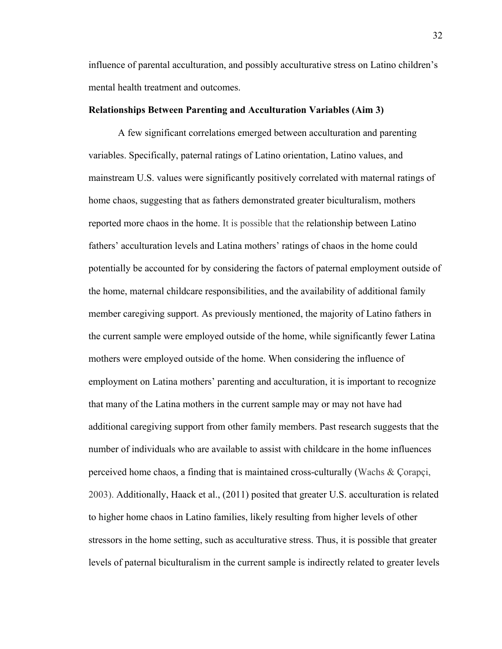influence of parental acculturation, and possibly acculturative stress on Latino children's mental health treatment and outcomes.

# **Relationships Between Parenting and Acculturation Variables (Aim 3)**

A few significant correlations emerged between acculturation and parenting variables. Specifically, paternal ratings of Latino orientation, Latino values, and mainstream U.S. values were significantly positively correlated with maternal ratings of home chaos, suggesting that as fathers demonstrated greater biculturalism, mothers reported more chaos in the home. It is possible that the relationship between Latino fathers' acculturation levels and Latina mothers' ratings of chaos in the home could potentially be accounted for by considering the factors of paternal employment outside of the home, maternal childcare responsibilities, and the availability of additional family member caregiving support. As previously mentioned, the majority of Latino fathers in the current sample were employed outside of the home, while significantly fewer Latina mothers were employed outside of the home. When considering the influence of employment on Latina mothers' parenting and acculturation, it is important to recognize that many of the Latina mothers in the current sample may or may not have had additional caregiving support from other family members. Past research suggests that the number of individuals who are available to assist with childcare in the home influences perceived home chaos, a finding that is maintained cross-culturally (Wachs & Çorapçi, 2003). Additionally, Haack et al., (2011) posited that greater U.S. acculturation is related to higher home chaos in Latino families, likely resulting from higher levels of other stressors in the home setting, such as acculturative stress. Thus, it is possible that greater levels of paternal biculturalism in the current sample is indirectly related to greater levels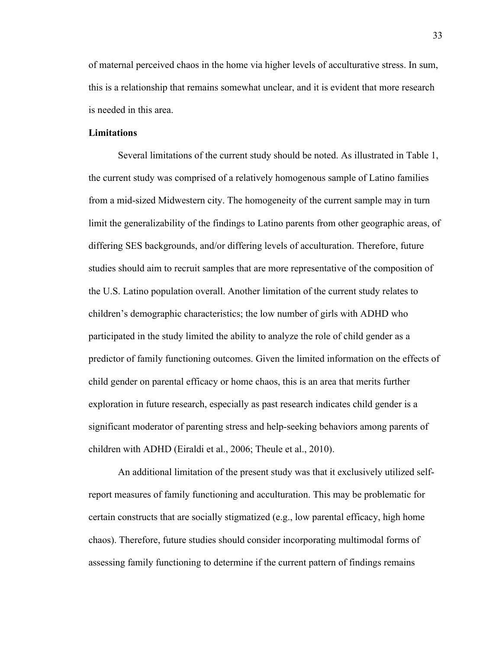of maternal perceived chaos in the home via higher levels of acculturative stress. In sum, this is a relationship that remains somewhat unclear, and it is evident that more research is needed in this area.

# **Limitations**

Several limitations of the current study should be noted. As illustrated in Table 1, the current study was comprised of a relatively homogenous sample of Latino families from a mid-sized Midwestern city. The homogeneity of the current sample may in turn limit the generalizability of the findings to Latino parents from other geographic areas, of differing SES backgrounds, and/or differing levels of acculturation. Therefore, future studies should aim to recruit samples that are more representative of the composition of the U.S. Latino population overall. Another limitation of the current study relates to children's demographic characteristics; the low number of girls with ADHD who participated in the study limited the ability to analyze the role of child gender as a predictor of family functioning outcomes. Given the limited information on the effects of child gender on parental efficacy or home chaos, this is an area that merits further exploration in future research, especially as past research indicates child gender is a significant moderator of parenting stress and help-seeking behaviors among parents of children with ADHD (Eiraldi et al., 2006; Theule et al., 2010).

An additional limitation of the present study was that it exclusively utilized selfreport measures of family functioning and acculturation. This may be problematic for certain constructs that are socially stigmatized (e.g., low parental efficacy, high home chaos). Therefore, future studies should consider incorporating multimodal forms of assessing family functioning to determine if the current pattern of findings remains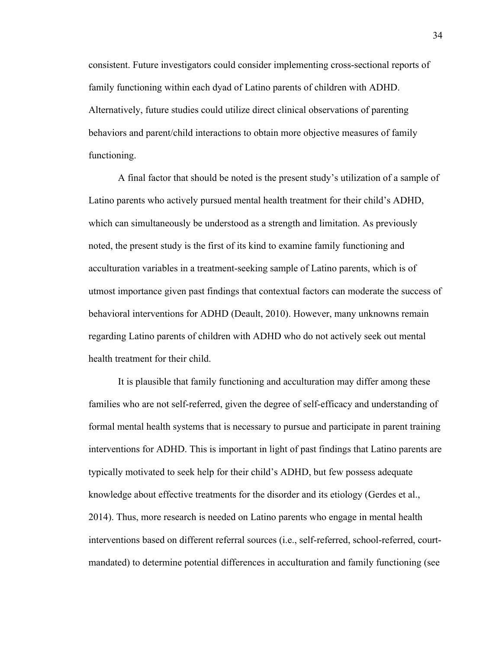consistent. Future investigators could consider implementing cross-sectional reports of family functioning within each dyad of Latino parents of children with ADHD. Alternatively, future studies could utilize direct clinical observations of parenting behaviors and parent/child interactions to obtain more objective measures of family functioning.

A final factor that should be noted is the present study's utilization of a sample of Latino parents who actively pursued mental health treatment for their child's ADHD, which can simultaneously be understood as a strength and limitation. As previously noted, the present study is the first of its kind to examine family functioning and acculturation variables in a treatment-seeking sample of Latino parents, which is of utmost importance given past findings that contextual factors can moderate the success of behavioral interventions for ADHD (Deault, 2010). However, many unknowns remain regarding Latino parents of children with ADHD who do not actively seek out mental health treatment for their child.

It is plausible that family functioning and acculturation may differ among these families who are not self-referred, given the degree of self-efficacy and understanding of formal mental health systems that is necessary to pursue and participate in parent training interventions for ADHD. This is important in light of past findings that Latino parents are typically motivated to seek help for their child's ADHD, but few possess adequate knowledge about effective treatments for the disorder and its etiology (Gerdes et al., 2014). Thus, more research is needed on Latino parents who engage in mental health interventions based on different referral sources (i.e., self-referred, school-referred, courtmandated) to determine potential differences in acculturation and family functioning (see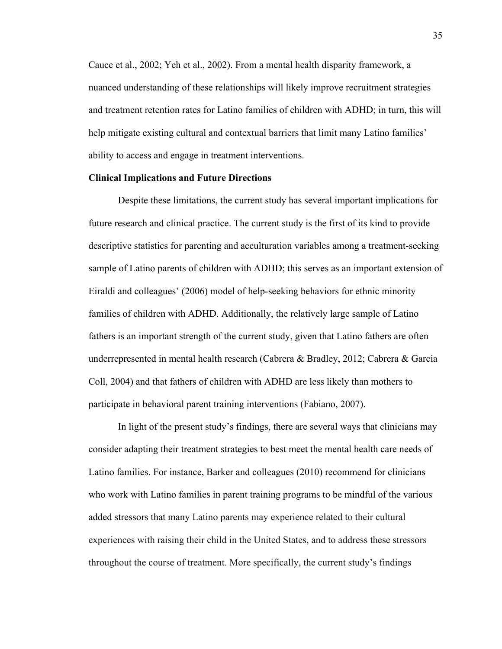Cauce et al., 2002; Yeh et al., 2002). From a mental health disparity framework, a nuanced understanding of these relationships will likely improve recruitment strategies and treatment retention rates for Latino families of children with ADHD; in turn, this will help mitigate existing cultural and contextual barriers that limit many Latino families' ability to access and engage in treatment interventions.

# **Clinical Implications and Future Directions**

Despite these limitations, the current study has several important implications for future research and clinical practice. The current study is the first of its kind to provide descriptive statistics for parenting and acculturation variables among a treatment-seeking sample of Latino parents of children with ADHD; this serves as an important extension of Eiraldi and colleagues' (2006) model of help-seeking behaviors for ethnic minority families of children with ADHD. Additionally, the relatively large sample of Latino fathers is an important strength of the current study, given that Latino fathers are often underrepresented in mental health research (Cabrera & Bradley, 2012; Cabrera & Garcia Coll, 2004) and that fathers of children with ADHD are less likely than mothers to participate in behavioral parent training interventions (Fabiano, 2007).

In light of the present study's findings, there are several ways that clinicians may consider adapting their treatment strategies to best meet the mental health care needs of Latino families. For instance, Barker and colleagues (2010) recommend for clinicians who work with Latino families in parent training programs to be mindful of the various added stressors that many Latino parents may experience related to their cultural experiences with raising their child in the United States, and to address these stressors throughout the course of treatment. More specifically, the current study's findings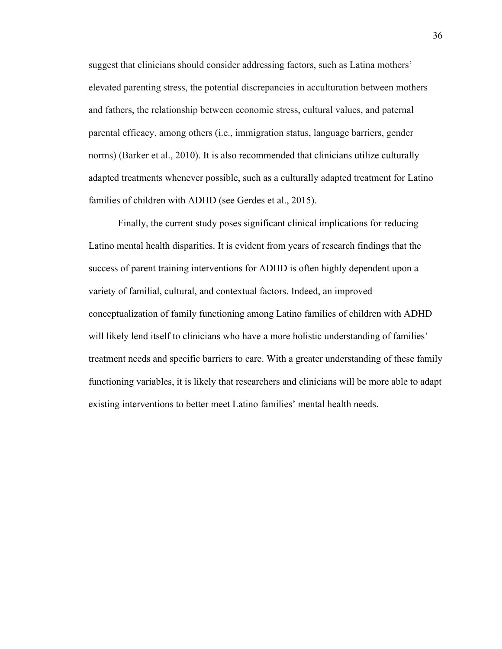suggest that clinicians should consider addressing factors, such as Latina mothers' elevated parenting stress, the potential discrepancies in acculturation between mothers and fathers, the relationship between economic stress, cultural values, and paternal parental efficacy, among others (i.e., immigration status, language barriers, gender norms) (Barker et al., 2010). It is also recommended that clinicians utilize culturally adapted treatments whenever possible, such as a culturally adapted treatment for Latino families of children with ADHD (see Gerdes et al., 2015).

Finally, the current study poses significant clinical implications for reducing Latino mental health disparities. It is evident from years of research findings that the success of parent training interventions for ADHD is often highly dependent upon a variety of familial, cultural, and contextual factors. Indeed, an improved conceptualization of family functioning among Latino families of children with ADHD will likely lend itself to clinicians who have a more holistic understanding of families' treatment needs and specific barriers to care. With a greater understanding of these family functioning variables, it is likely that researchers and clinicians will be more able to adapt existing interventions to better meet Latino families' mental health needs.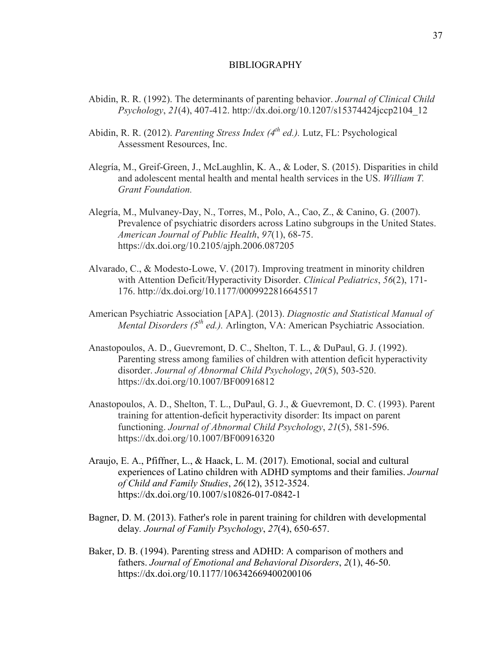#### BIBLIOGRAPHY

- Abidin, R. R. (1992). The determinants of parenting behavior. *Journal of Clinical Child Psychology*, *21*(4), 407-412. http://dx.doi.org/10.1207/s15374424jccp2104\_12
- Abidin, R. R. (2012). *Parenting Stress Index (4th ed.).* Lutz, FL: Psychological Assessment Resources, Inc.
- Alegría, M., Greif-Green, J., McLaughlin, K. A., & Loder, S. (2015). Disparities in child and adolescent mental health and mental health services in the US. *William T. Grant Foundation.*
- Alegría, M., Mulvaney-Day, N., Torres, M., Polo, A., Cao, Z., & Canino, G. (2007). Prevalence of psychiatric disorders across Latino subgroups in the United States. *American Journal of Public Health*, *97*(1), 68-75. https://dx.doi.org/10.2105/ajph.2006.087205
- Alvarado, C., & Modesto-Lowe, V. (2017). Improving treatment in minority children with Attention Deficit/Hyperactivity Disorder. *Clinical Pediatrics*, *56*(2), 171- 176. http://dx.doi.org/10.1177/0009922816645517
- American Psychiatric Association [APA]. (2013). *Diagnostic and Statistical Manual of Mental Disorders (5th ed.).* Arlington, VA: American Psychiatric Association.
- Anastopoulos, A. D., Guevremont, D. C., Shelton, T. L., & DuPaul, G. J. (1992). Parenting stress among families of children with attention deficit hyperactivity disorder. *Journal of Abnormal Child Psychology*, *20*(5), 503-520. https://dx.doi.org/10.1007/BF00916812
- Anastopoulos, A. D., Shelton, T. L., DuPaul, G. J., & Guevremont, D. C. (1993). Parent training for attention-deficit hyperactivity disorder: Its impact on parent functioning. *Journal of Abnormal Child Psychology*, *21*(5), 581-596. https://dx.doi.org/10.1007/BF00916320
- Araujo, E. A., Pfiffner, L., & Haack, L. M. (2017). Emotional, social and cultural experiences of Latino children with ADHD symptoms and their families. *Journal of Child and Family Studies*, *26*(12), 3512-3524. https://dx.doi.org/10.1007/s10826-017-0842-1
- Bagner, D. M. (2013). Father's role in parent training for children with developmental delay*. Journal of Family Psychology*, *27*(4), 650-657.
- Baker, D. B. (1994). Parenting stress and ADHD: A comparison of mothers and fathers. *Journal of Emotional and Behavioral Disorders*, *2*(1), 46-50. https://dx.doi.org/10.1177/106342669400200106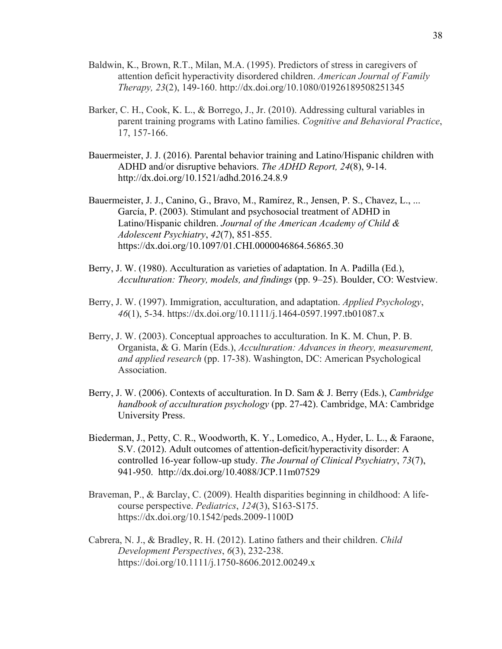- Baldwin, K., Brown, R.T., Milan, M.A. (1995). Predictors of stress in caregivers of attention deficit hyperactivity disordered children. *American Journal of Family Therapy, 23*(2), 149-160. http://dx.doi.org/10.1080/01926189508251345
- Barker, C. H., Cook, K. L., & Borrego, J., Jr. (2010). Addressing cultural variables in parent training programs with Latino families. *Cognitive and Behavioral Practice*, 17, 157-166.
- Bauermeister, J. J. (2016). Parental behavior training and Latino/Hispanic children with ADHD and/or disruptive behaviors. *The ADHD Report, 24*(8), 9-14. http://dx.doi.org/10.1521/adhd.2016.24.8.9
- Bauermeister, J. J., Canino, G., Bravo, M., Ramírez, R., Jensen, P. S., Chavez, L., ... García, P. (2003). Stimulant and psychosocial treatment of ADHD in Latino/Hispanic children. *Journal of the American Academy of Child & Adolescent Psychiatry*, *42*(7), 851-855. https://dx.doi.org/10.1097/01.CHI.0000046864.56865.30
- Berry, J. W. (1980). Acculturation as varieties of adaptation. In A. Padilla (Ed.), *Acculturation: Theory, models, and findings* (pp. 9–25). Boulder, CO: Westview.
- Berry, J. W. (1997). Immigration, acculturation, and adaptation. *Applied Psychology*, *46*(1), 5-34. https://dx.doi.org/10.1111/j.1464-0597.1997.tb01087.x
- Berry, J. W. (2003). Conceptual approaches to acculturation. In K. M. Chun, P. B. Organista, & G. Marín (Eds.), *Acculturation: Advances in theory, measurement, and applied research* (pp. 17-38). Washington, DC: American Psychological Association.
- Berry, J. W. (2006). Contexts of acculturation. In D. Sam & J. Berry (Eds.), *Cambridge handbook of acculturation psychology* (pp. 27-42). Cambridge, MA: Cambridge University Press.
- Biederman, J., Petty, C. R., Woodworth, K. Y., Lomedico, A., Hyder, L. L., & Faraone, S.V. (2012). Adult outcomes of attention-deficit/hyperactivity disorder: A controlled 16-year follow-up study. *The Journal of Clinical Psychiatry*, *73*(7), 941-950. http://dx.doi.org/10.4088/JCP.11m07529
- Braveman, P., & Barclay, C. (2009). Health disparities beginning in childhood: A lifecourse perspective. *Pediatrics*, *124*(3), S163-S175. https://dx.doi.org/10.1542/peds.2009-1100D
- Cabrera, N. J., & Bradley, R. H. (2012). Latino fathers and their children. *Child Development Perspectives*, *6*(3), 232-238. https://doi.org/10.1111/j.1750-8606.2012.00249.x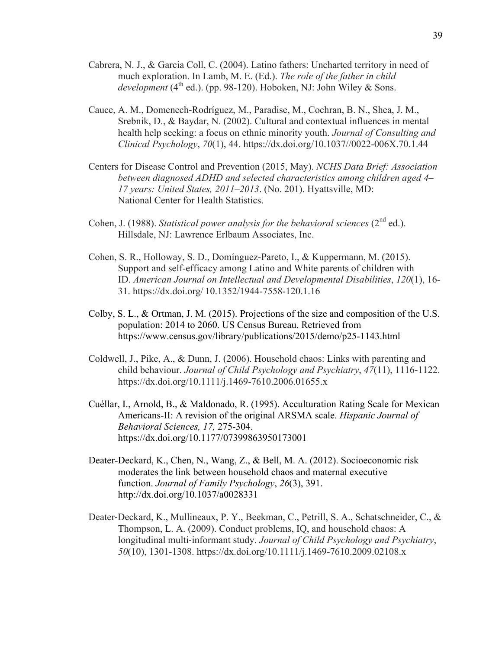- Cabrera, N. J., & Garcia Coll, C. (2004). Latino fathers: Uncharted territory in need of much exploration. In Lamb, M. E. (Ed.). *The role of the father in child*   $development(4<sup>th</sup> ed.)$ . (pp. 98-120). Hoboken, NJ: John Wiley & Sons.
- Cauce, A. M., Domenech-Rodríguez, M., Paradise, M., Cochran, B. N., Shea, J. M., Srebnik, D., & Baydar, N. (2002). Cultural and contextual influences in mental health help seeking: a focus on ethnic minority youth. *Journal of Consulting and Clinical Psychology*, *70*(1), 44. https://dx.doi.org/10.1037//0022-006X.70.1.44
- Centers for Disease Control and Prevention (2015, May). *NCHS Data Brief: Association between diagnosed ADHD and selected characteristics among children aged 4– 17 years: United States, 2011–2013*. (No. 201). Hyattsville, MD: National Center for Health Statistics.
- Cohen, J. (1988). *Statistical power analysis for the behavioral sciences*  $(2^{nd}$  ed.). Hillsdale, NJ: Lawrence Erlbaum Associates, Inc.
- Cohen, S. R., Holloway, S. D., Domínguez-Pareto, I., & Kuppermann, M. (2015). Support and self-efficacy among Latino and White parents of children with ID. *American Journal on Intellectual and Developmental Disabilities*, *120*(1), 16- 31. https://dx.doi.org/ 10.1352/1944-7558-120.1.16
- Colby, S. L., & Ortman, J. M. (2015). Projections of the size and composition of the U.S. population: 2014 to 2060. US Census Bureau. Retrieved from https://www.census.gov/library/publications/2015/demo/p25-1143.html
- Coldwell, J., Pike, A., & Dunn, J. (2006). Household chaos: Links with parenting and child behaviour. *Journal of Child Psychology and Psychiatry*, *47*(11), 1116-1122. https://dx.doi.org/10.1111/j.1469-7610.2006.01655.x
- Cuéllar, I., Arnold, B., & Maldonado, R. (1995). Acculturation Rating Scale for Mexican Americans-II: A revision of the original ARSMA scale. *Hispanic Journal of Behavioral Sciences, 17,* 275-304. https://dx.doi.org/10.1177/07399863950173001
- Deater-Deckard, K., Chen, N., Wang, Z., & Bell, M. A. (2012). Socioeconomic risk moderates the link between household chaos and maternal executive function. *Journal of Family Psychology*, *26*(3), 391. http://dx.doi.org/10.1037/a0028331
- Deater‐Deckard, K., Mullineaux, P. Y., Beekman, C., Petrill, S. A., Schatschneider, C., & Thompson, L. A. (2009). Conduct problems, IQ, and household chaos: A longitudinal multi‐informant study. *Journal of Child Psychology and Psychiatry*, *50*(10), 1301-1308. https://dx.doi.org/10.1111/j.1469-7610.2009.02108.x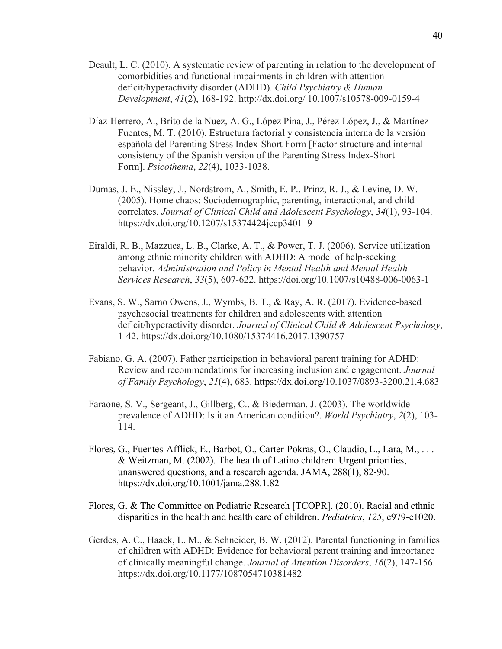- Deault, L. C. (2010). A systematic review of parenting in relation to the development of comorbidities and functional impairments in children with attentiondeficit/hyperactivity disorder (ADHD). *Child Psychiatry & Human Development*, *41*(2), 168-192. http://dx.doi.org/ 10.1007/s10578-009-0159-4
- Díaz-Herrero, A., Brito de la Nuez, A. G., López Pina, J., Pérez-López, J., & Martínez-Fuentes, M. T. (2010). Estructura factorial y consistencia interna de la versión española del Parenting Stress Index-Short Form [Factor structure and internal consistency of the Spanish version of the Parenting Stress Index-Short Form]. *Psicothema*, *22*(4), 1033-1038.
- Dumas, J. E., Nissley, J., Nordstrom, A., Smith, E. P., Prinz, R. J., & Levine, D. W. (2005). Home chaos: Sociodemographic, parenting, interactional, and child correlates. *Journal of Clinical Child and Adolescent Psychology*, *34*(1), 93-104. https://dx.doi.org/10.1207/s15374424jccp3401\_9
- Eiraldi, R. B., Mazzuca, L. B., Clarke, A. T., & Power, T. J. (2006). Service utilization among ethnic minority children with ADHD: A model of help-seeking behavior. *Administration and Policy in Mental Health and Mental Health Services Research*, *33*(5), 607-622. https://doi.org/10.1007/s10488-006-0063-1
- Evans, S. W., Sarno Owens, J., Wymbs, B. T., & Ray, A. R. (2017). Evidence-based psychosocial treatments for children and adolescents with attention deficit/hyperactivity disorder. *Journal of Clinical Child & Adolescent Psychology*, 1-42. https://dx.doi.org/10.1080/15374416.2017.1390757
- Fabiano, G. A. (2007). Father participation in behavioral parent training for ADHD: Review and recommendations for increasing inclusion and engagement. *Journal of Family Psychology*, *21*(4), 683. https://dx.doi.org/10.1037/0893-3200.21.4.683
- Faraone, S. V., Sergeant, J., Gillberg, C., & Biederman, J. (2003). The worldwide prevalence of ADHD: Is it an American condition?. *World Psychiatry*, *2*(2), 103- 114.
- Flores, G., Fuentes-Afflick, E., Barbot, O., Carter-Pokras, O., Claudio, L., Lara, M., . . . & Weitzman, M. (2002). The health of Latino children: Urgent priorities, unanswered questions, and a research agenda. JAMA, 288(1), 82-90. https://dx.doi.org/10.1001/jama.288.1.82
- Flores, G. & The Committee on Pediatric Research [TCOPR]. (2010). Racial and ethnic disparities in the health and health care of children. *Pediatrics*, *125*, e979-e1020.
- Gerdes, A. C., Haack, L. M., & Schneider, B. W. (2012). Parental functioning in families of children with ADHD: Evidence for behavioral parent training and importance of clinically meaningful change. *Journal of Attention Disorders*, *16*(2), 147-156. https://dx.doi.org/10.1177/1087054710381482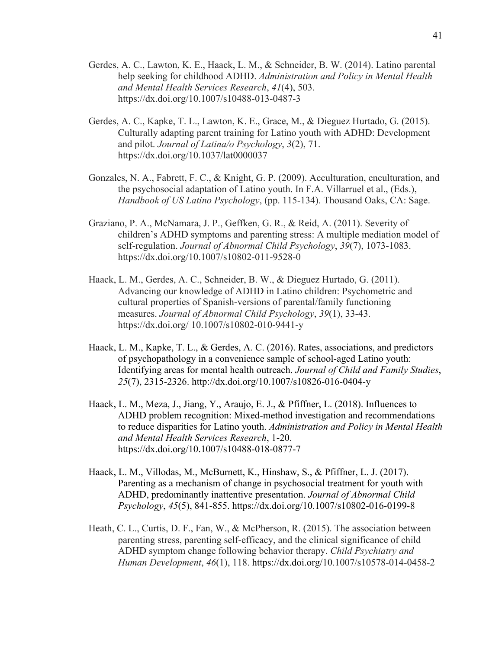- Gerdes, A. C., Lawton, K. E., Haack, L. M., & Schneider, B. W. (2014). Latino parental help seeking for childhood ADHD. *Administration and Policy in Mental Health and Mental Health Services Research*, *41*(4), 503. https://dx.doi.org/10.1007/s10488-013-0487-3
- Gerdes, A. C., Kapke, T. L., Lawton, K. E., Grace, M., & Dieguez Hurtado, G. (2015). Culturally adapting parent training for Latino youth with ADHD: Development and pilot. *Journal of Latina/o Psychology*, *3*(2), 71. https://dx.doi.org/10.1037/lat0000037
- Gonzales, N. A., Fabrett, F. C., & Knight, G. P. (2009). Acculturation, enculturation, and the psychosocial adaptation of Latino youth. In F.A. Villarruel et al., (Eds.), *Handbook of US Latino Psychology*, (pp. 115-134). Thousand Oaks, CA: Sage.
- Graziano, P. A., McNamara, J. P., Geffken, G. R., & Reid, A. (2011). Severity of children's ADHD symptoms and parenting stress: A multiple mediation model of self-regulation. *Journal of Abnormal Child Psychology*, *39*(7), 1073-1083. https://dx.doi.org/10.1007/s10802-011-9528-0
- Haack, L. M., Gerdes, A. C., Schneider, B. W., & Dieguez Hurtado, G. (2011). Advancing our knowledge of ADHD in Latino children: Psychometric and cultural properties of Spanish-versions of parental/family functioning measures. *Journal of Abnormal Child Psychology*, *39*(1), 33-43. https://dx.doi.org/ 10.1007/s10802-010-9441-y
- Haack, L. M., Kapke, T. L., & Gerdes, A. C. (2016). Rates, associations, and predictors of psychopathology in a convenience sample of school-aged Latino youth: Identifying areas for mental health outreach. *Journal of Child and Family Studies*, *25*(7), 2315-2326. http://dx.doi.org/10.1007/s10826-016-0404-y
- Haack, L. M., Meza, J., Jiang, Y., Araujo, E. J., & Pfiffner, L. (2018). Influences to ADHD problem recognition: Mixed-method investigation and recommendations to reduce disparities for Latino youth. *Administration and Policy in Mental Health and Mental Health Services Research*, 1-20. https://dx.doi.org/10.1007/s10488-018-0877-7
- Haack, L. M., Villodas, M., McBurnett, K., Hinshaw, S., & Pfiffner, L. J. (2017). Parenting as a mechanism of change in psychosocial treatment for youth with ADHD, predominantly inattentive presentation. *Journal of Abnormal Child Psychology*, *45*(5), 841-855. https://dx.doi.org/10.1007/s10802-016-0199-8
- Heath, C. L., Curtis, D. F., Fan, W., & McPherson, R. (2015). The association between parenting stress, parenting self-efficacy, and the clinical significance of child ADHD symptom change following behavior therapy. *Child Psychiatry and Human Development*, *46*(1), 118. https://dx.doi.org/10.1007/s10578-014-0458-2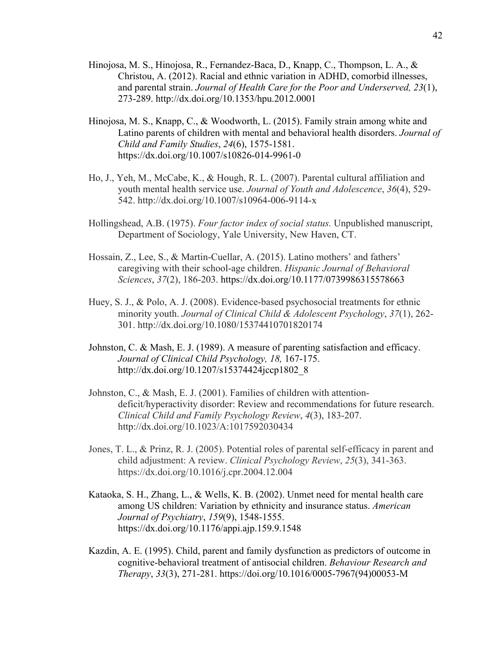- Hinojosa, M. S., Hinojosa, R., Fernandez-Baca, D., Knapp, C., Thompson, L. A., & Christou, A. (2012). Racial and ethnic variation in ADHD, comorbid illnesses, and parental strain. *Journal of Health Care for the Poor and Underserved, 23*(1), 273-289. http://dx.doi.org/10.1353/hpu.2012.0001
- Hinojosa, M. S., Knapp, C., & Woodworth, L. (2015). Family strain among white and Latino parents of children with mental and behavioral health disorders. *Journal of Child and Family Studies*, *24*(6), 1575-1581. https://dx.doi.org/10.1007/s10826-014-9961-0
- Ho, J., Yeh, M., McCabe, K., & Hough, R. L. (2007). Parental cultural affiliation and youth mental health service use. *Journal of Youth and Adolescence*, *36*(4), 529- 542. http://dx.doi.org/10.1007/s10964-006-9114-x
- Hollingshead, A.B. (1975). *Four factor index of social status.* Unpublished manuscript, Department of Sociology, Yale University, New Haven, CT.
- Hossain, Z., Lee, S., & Martin-Cuellar, A. (2015). Latino mothers' and fathers' caregiving with their school-age children. *Hispanic Journal of Behavioral Sciences*, *37*(2), 186-203. https://dx.doi.org/10.1177/0739986315578663
- Huey, S. J., & Polo, A. J. (2008). Evidence-based psychosocial treatments for ethnic minority youth. *Journal of Clinical Child & Adolescent Psychology*, *37*(1), 262- 301. http://dx.doi.org/10.1080/15374410701820174
- Johnston, C. & Mash, E. J. (1989). A measure of parenting satisfaction and efficacy. *Journal of Clinical Child Psychology, 18,* 167-175. http://dx.doi.org/10.1207/s15374424jccp1802\_8
- Johnston, C., & Mash, E. J. (2001). Families of children with attentiondeficit/hyperactivity disorder: Review and recommendations for future research. *Clinical Child and Family Psychology Review*, *4*(3), 183-207. http://dx.doi.org/10.1023/A:1017592030434
- Jones, T. L., & Prinz, R. J. (2005). Potential roles of parental self-efficacy in parent and child adjustment: A review. *Clinical Psychology Review*, *25*(3), 341-363. https://dx.doi.org/10.1016/j.cpr.2004.12.004
- Kataoka, S. H., Zhang, L., & Wells, K. B. (2002). Unmet need for mental health care among US children: Variation by ethnicity and insurance status. *American Journal of Psychiatry*, *159*(9), 1548-1555. https://dx.doi.org/10.1176/appi.ajp.159.9.1548
- Kazdin, A. E. (1995). Child, parent and family dysfunction as predictors of outcome in cognitive-behavioral treatment of antisocial children. *Behaviour Research and Therapy*, *33*(3), 271-281. https://doi.org/10.1016/0005-7967(94)00053-M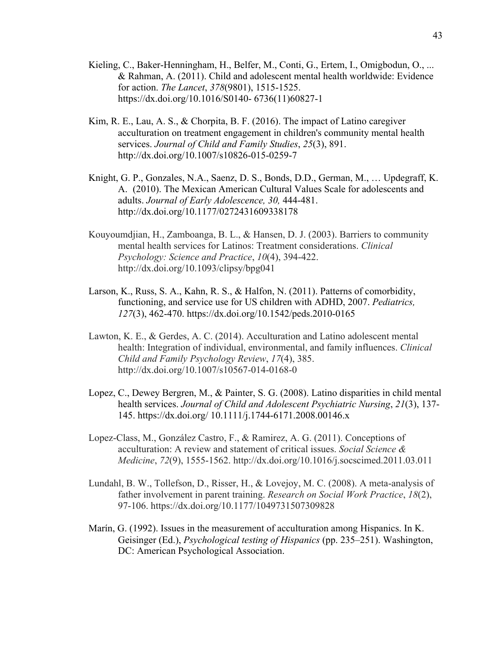- Kieling, C., Baker-Henningham, H., Belfer, M., Conti, G., Ertem, I., Omigbodun, O., ... & Rahman, A. (2011). Child and adolescent mental health worldwide: Evidence for action. *The Lancet*, *378*(9801), 1515-1525. https://dx.doi.org/10.1016/S0140- 6736(11)60827-1
- Kim, R. E., Lau, A. S., & Chorpita, B. F. (2016). The impact of Latino caregiver acculturation on treatment engagement in children's community mental health services. *Journal of Child and Family Studies*, *25*(3), 891. http://dx.doi.org/10.1007/s10826-015-0259-7
- Knight, G. P., Gonzales, N.A., Saenz, D. S., Bonds, D.D., German, M., … Updegraff, K. A. (2010). The Mexican American Cultural Values Scale for adolescents and adults. *Journal of Early Adolescence, 30,* 444-481. http://dx.doi.org/10.1177/0272431609338178
- Kouyoumdjian, H., Zamboanga, B. L., & Hansen, D. J. (2003). Barriers to community mental health services for Latinos: Treatment considerations. *Clinical Psychology: Science and Practice*, *10*(4), 394-422. http://dx.doi.org/10.1093/clipsy/bpg041
- Larson, K., Russ, S. A., Kahn, R. S., & Halfon, N. (2011). Patterns of comorbidity, functioning, and service use for US children with ADHD, 2007. *Pediatrics, 127*(3), 462-470. https://dx.doi.org/10.1542/peds.2010-0165
- Lawton, K. E., & Gerdes, A. C. (2014). Acculturation and Latino adolescent mental health: Integration of individual, environmental, and family influences. *Clinical Child and Family Psychology Review*, *17*(4), 385. http://dx.doi.org/10.1007/s10567-014-0168-0
- Lopez, C., Dewey Bergren, M., & Painter, S. G. (2008). Latino disparities in child mental health services. *Journal of Child and Adolescent Psychiatric Nursing*, *21*(3), 137- 145. https://dx.doi.org/ 10.1111/j.1744-6171.2008.00146.x
- Lopez-Class, M., González Castro, F., & Ramirez, A. G. (2011). Conceptions of acculturation: A review and statement of critical issues. *Social Science & Medicine*, *72*(9), 1555-1562. http://dx.doi.org/10.1016/j.socscimed.2011.03.011
- Lundahl, B. W., Tollefson, D., Risser, H., & Lovejoy, M. C. (2008). A meta-analysis of father involvement in parent training. *Research on Social Work Practice*, *18*(2), 97-106. https://dx.doi.org/10.1177/1049731507309828
- Marín, G. (1992). Issues in the measurement of acculturation among Hispanics. In K. Geisinger (Ed.), *Psychological testing of Hispanics* (pp. 235–251). Washington, DC: American Psychological Association.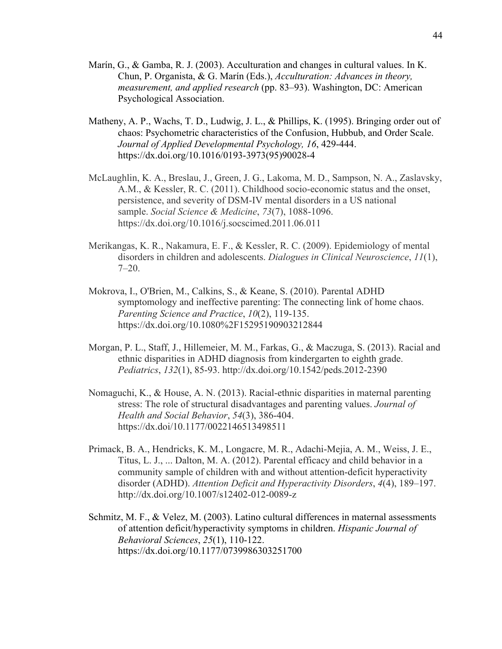- Marín, G., & Gamba, R. J. (2003). Acculturation and changes in cultural values. In K. Chun, P. Organista, & G. Marín (Eds.), *Acculturation: Advances in theory, measurement, and applied research* (pp. 83–93). Washington, DC: American Psychological Association.
- Matheny, A. P., Wachs, T. D., Ludwig, J. L., & Phillips, K. (1995). Bringing order out of chaos: Psychometric characteristics of the Confusion, Hubbub, and Order Scale. *Journal of Applied Developmental Psychology, 16*, 429-444. https://dx.doi.org/10.1016/0193-3973(95)90028-4
- McLaughlin, K. A., Breslau, J., Green, J. G., Lakoma, M. D., Sampson, N. A., Zaslavsky, A.M., & Kessler, R. C. (2011). Childhood socio-economic status and the onset, persistence, and severity of DSM-IV mental disorders in a US national sample. *Social Science & Medicine*, *73*(7), 1088-1096. https://dx.doi.org/10.1016/j.socscimed.2011.06.011
- Merikangas, K. R., Nakamura, E. F., & Kessler, R. C. (2009). Epidemiology of mental disorders in children and adolescents. *Dialogues in Clinical Neuroscience*, *11*(1),  $7-20.$
- Mokrova, I., O'Brien, M., Calkins, S., & Keane, S. (2010). Parental ADHD symptomology and ineffective parenting: The connecting link of home chaos. *Parenting Science and Practice*, *10*(2), 119-135. https://dx.doi.org/10.1080%2F15295190903212844
- Morgan, P. L., Staff, J., Hillemeier, M. M., Farkas, G., & Maczuga, S. (2013). Racial and ethnic disparities in ADHD diagnosis from kindergarten to eighth grade. *Pediatrics*, *132*(1), 85-93. http://dx.doi.org/10.1542/peds.2012-2390
- Nomaguchi, K., & House, A. N. (2013). Racial-ethnic disparities in maternal parenting stress: The role of structural disadvantages and parenting values. *Journal of Health and Social Behavior*, *54*(3), 386-404. https://dx.doi/10.1177/0022146513498511
- Primack, B. A., Hendricks, K. M., Longacre, M. R., Adachi-Mejia, A. M., Weiss, J. E., Titus, L. J., ... Dalton, M. A. (2012). Parental efficacy and child behavior in a community sample of children with and without attention-deficit hyperactivity disorder (ADHD). *Attention Deficit and Hyperactivity Disorders*, *4*(4), 189–197. http://dx.doi.org/10.1007/s12402-012-0089-z
- Schmitz, M. F., & Velez, M. (2003). Latino cultural differences in maternal assessments of attention deficit/hyperactivity symptoms in children. *Hispanic Journal of Behavioral Sciences*, *25*(1), 110-122. https://dx.doi.org/10.1177/0739986303251700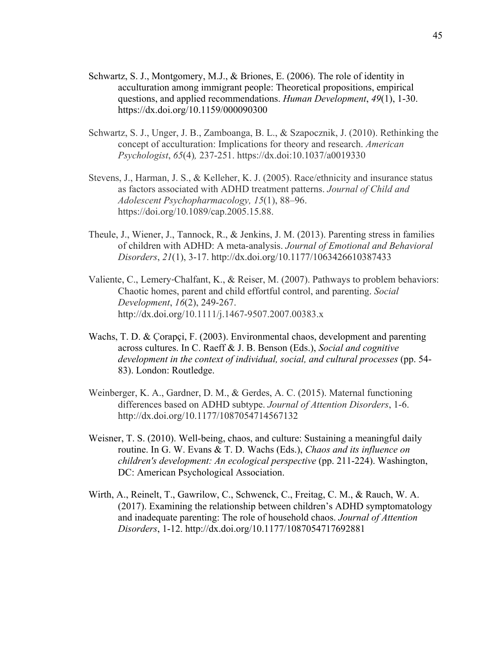- Schwartz, S. J., Montgomery, M.J., & Briones, E. (2006). The role of identity in acculturation among immigrant people: Theoretical propositions, empirical questions, and applied recommendations. *Human Development*, *49*(1), 1-30. https://dx.doi.org/10.1159/000090300
- Schwartz, S. J., Unger, J. B., Zamboanga, B. L., & Szapocznik, J. (2010). Rethinking the concept of acculturation: Implications for theory and research. *American Psychologist*, *65*(4)*,* 237-251. https://dx.doi:10.1037/a0019330
- Stevens, J., Harman, J. S., & Kelleher, K. J. (2005). Race/ethnicity and insurance status as factors associated with ADHD treatment patterns. *Journal of Child and Adolescent Psychopharmacology, 15*(1), 88–96. https://doi.org/10.1089/cap.2005.15.88.
- Theule, J., Wiener, J., Tannock, R., & Jenkins, J. M. (2013). Parenting stress in families of children with ADHD: A meta-analysis. *Journal of Emotional and Behavioral Disorders*, *21*(1), 3-17. http://dx.doi.org/10.1177/1063426610387433
- Valiente, C., Lemery‐Chalfant, K., & Reiser, M. (2007). Pathways to problem behaviors: Chaotic homes, parent and child effortful control, and parenting. *Social Development*, *16*(2), 249-267. http://dx.doi.org/10.1111/j.1467-9507.2007.00383.x
- Wachs, T. D. & Çorapçi, F. (2003). Environmental chaos, development and parenting across cultures. In C. Raeff & J. B. Benson (Eds.), *Social and cognitive development in the context of individual, social, and cultural processes* (pp. 54- 83). London: Routledge.
- Weinberger, K. A., Gardner, D. M., & Gerdes, A. C. (2015). Maternal functioning differences based on ADHD subtype. *Journal of Attention Disorders*, 1-6. http://dx.doi.org/10.1177/1087054714567132
- Weisner, T. S. (2010). Well-being, chaos, and culture: Sustaining a meaningful daily routine. In G. W. Evans & T. D. Wachs (Eds.), *Chaos and its influence on children's development: An ecological perspective* (pp. 211-224). Washington, DC: American Psychological Association.
- Wirth, A., Reinelt, T., Gawrilow, C., Schwenck, C., Freitag, C. M., & Rauch, W. A. (2017). Examining the relationship between children's ADHD symptomatology and inadequate parenting: The role of household chaos. *Journal of Attention Disorders*, 1-12. http://dx.doi.org/10.1177/1087054717692881